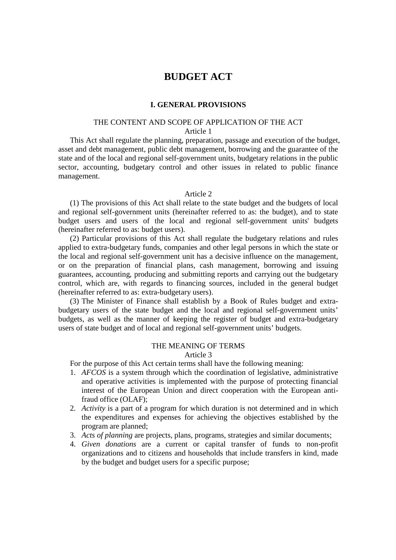# **BUDGET ACT**

#### **I. GENERAL PROVISIONS**

## THE CONTENT AND SCOPE OF APPLICATION OF THE ACT Article 1

This Act shall regulate the planning, preparation, passage and execution of the budget, asset and debt management, public debt management, borrowing and the guarantee of the state and of the local and regional self-government units, budgetary relations in the public sector, accounting, budgetary control and other issues in related to public finance management.

### Article 2

(1) The provisions of this Act shall relate to the state budget and the budgets of local and regional self-government units (hereinafter referred to as: the budget), and to state budget users and users of the local and regional self-government units' budgets (hereinafter referred to as: budget users).

(2) Particular provisions of this Act shall regulate the budgetary relations and rules applied to extra-budgetary funds, companies and other legal persons in which the state or the local and regional self-government unit has a decisive influence on the management, or on the preparation of financial plans, cash management, borrowing and issuing guarantees, accounting, producing and submitting reports and carrying out the budgetary control, which are, with regards to financing sources, included in the general budget (hereinafter referred to as: extra-budgetary users).

(3) The Minister of Finance shall establish by a Book of Rules budget and extrabudgetary users of the state budget and the local and regional self-government units' budgets, as well as the manner of keeping the register of budget and extra-budgetary users of state budget and of local and regional self-government units' budgets.

# THE MEANING OF TERMS

Article 3

For the purpose of this Act certain terms shall have the following meaning:

- 1. *AFCOS* is a system through which the coordination of legislative, administrative and operative activities is implemented with the purpose of protecting financial interest of the European Union and direct cooperation with the European antifraud office (OLAF);
- 2. *Activity* is a part of a program for which duration is not determined and in which the expenditures and expenses for achieving the objectives established by the program are planned;
- 3. *Acts of planning* are projects, plans, programs, strategies and similar documents;
- 4. *Given donations* are a current or capital transfer of funds to non-profit organizations and to citizens and households that include transfers in kind, made by the budget and budget users for a specific purpose;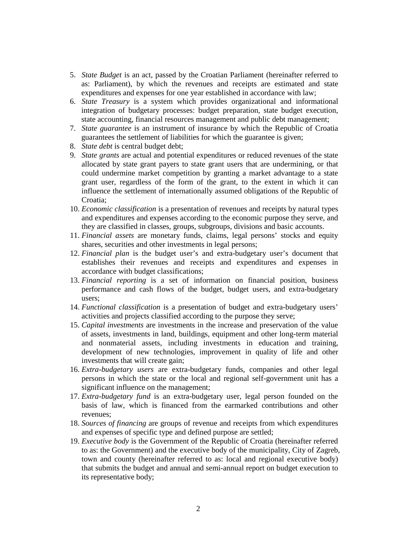- 5. *State Budget* is an act, passed by the Croatian Parliament (hereinafter referred to as: Parliament), by which the revenues and receipts are estimated and state expenditures and expenses for one year established in accordance with law;
- 6. *State Treasury* is a system which provides organizational and informational integration of budgetary processes: budget preparation, state budget execution, state accounting, financial resources management and public debt management;
- 7. *State guarantee* is an instrument of insurance by which the Republic of Croatia guarantees the settlement of liabilities for which the guarantee is given;
- 8. *State debt* is central budget debt;
- 9. *State grants* are actual and potential expenditures or reduced revenues of the state allocated by state grant payers to state grant users that are undermining, or that could undermine market competition by granting a market advantage to a state grant user, regardless of the form of the grant, to the extent in which it can influence the settlement of internationally assumed obligations of the Republic of Croatia;
- 10. *Economic classification* is a presentation of revenues and receipts by natural types and expenditures and expenses according to the economic purpose they serve, and they are classified in classes, groups, subgroups, divisions and basic accounts.
- 11. *Financial assets* are monetary funds, claims, legal persons' stocks and equity shares, securities and other investments in legal persons;
- 12. *Financial plan* is the budget user's and extra-budgetary user's document that establishes their revenues and receipts and expenditures and expenses in accordance with budget classifications;
- 13. *Financial reporting* is a set of information on financial position, business performance and cash flows of the budget, budget users, and extra-budgetary users;
- 14. *Functional classification* is a presentation of budget and extra-budgetary users' activities and projects classified according to the purpose they serve;
- 15. *Capital investments* are investments in the increase and preservation of the value of assets, investments in land, buildings, equipment and other long-term material and nonmaterial assets, including investments in education and training, development of new technologies, improvement in quality of life and other investments that will create gain;
- 16. *Extra-budgetary users* are extra-budgetary funds, companies and other legal persons in which the state or the local and regional self-government unit has a significant influence on the management;
- 17. *Extra-budgetary fund* is an extra-budgetary user, legal person founded on the basis of law, which is financed from the earmarked contributions and other revenues;
- 18. *Sources of financing* are groups of revenue and receipts from which expenditures and expenses of specific type and defined purpose are settled;
- 19. *Executive body* is the Government of the Republic of Croatia (hereinafter referred to as: the Government) and the executive body of the municipality, City of Zagreb, town and county (hereinafter referred to as: local and regional executive body) that submits the budget and annual and semi-annual report on budget execution to its representative body;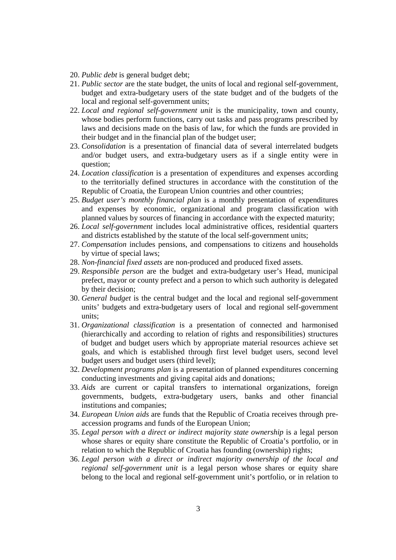- 20. *Public debt* is general budget debt;
- 21. *Public sector* are the state budget, the units of local and regional self-government, budget and extra-budgetary users of the state budget and of the budgets of the local and regional self-government units;
- 22. *Local and regional self-government unit* is the municipality, town and county, whose bodies perform functions, carry out tasks and pass programs prescribed by laws and decisions made on the basis of law, for which the funds are provided in their budget and in the financial plan of the budget user;
- 23. *Consolidation* is a presentation of financial data of several interrelated budgets and/or budget users, and extra-budgetary users as if a single entity were in question;
- 24. *Location classification* is a presentation of expenditures and expenses according to the territorially defined structures in accordance with the constitution of the Republic of Croatia, the European Union countries and other countries;
- 25. *Budget user's monthly financial plan* is a monthly presentation of expenditures and expenses by economic, organizational and program classification with planned values by sources of financing in accordance with the expected maturity;
- 26. *Local self-government* includes local administrative offices, residential quarters and districts established by the statute of the local self-government units;
- 27. *Compensation* includes pensions, and compensations to citizens and households by virtue of special laws;
- 28. *Non-financial fixed assets* are non-produced and produced fixed assets.
- 29. *Responsible person* are the budget and extra-budgetary user's Head, municipal prefect, mayor or county prefect and a person to which such authority is delegated by their decision;
- 30. *General budget* is the central budget and the local and regional self-government units' budgets and extra-budgetary users of local and regional self-government units;
- 31. *Organizational classification* is a presentation of connected and harmonised (hierarchically and according to relation of rights and responsibilities) structures of budget and budget users which by appropriate material resources achieve set goals, and which is established through first level budget users, second level budget users and budget users (third level);
- 32. *Development programs plan* is a presentation of planned expenditures concerning conducting investments and giving capital aids and donations;
- 33. *Aids* are current or capital transfers to international organizations, foreign governments, budgets, extra-budgetary users, banks and other financial institutions and companies;
- 34. *European Union aids* are funds that the Republic of Croatia receives through preaccession programs and funds of the European Union;
- 35. *Legal person with a direct or indirect majority state ownership* is a legal person whose shares or equity share constitute the Republic of Croatia's portfolio, or in relation to which the Republic of Croatia has founding (ownership) rights;
- 36. *Legal person with a direct or indirect majority ownership of the local and regional self-government unit* is a legal person whose shares or equity share belong to the local and regional self-government unit's portfolio, or in relation to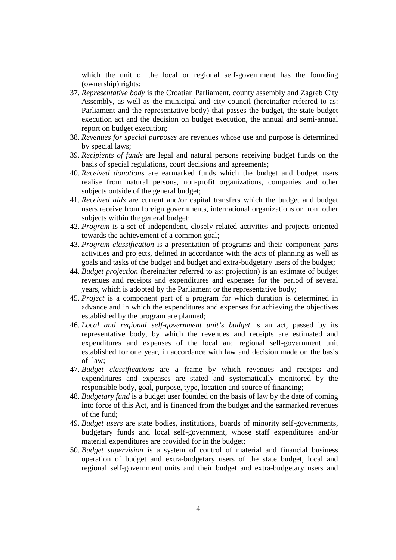which the unit of the local or regional self-government has the founding (ownership) rights;

- 37. *Representative body* is the Croatian Parliament, county assembly and Zagreb City Assembly, as well as the municipal and city council (hereinafter referred to as: Parliament and the representative body) that passes the budget, the state budget execution act and the decision on budget execution, the annual and semi-annual report on budget execution;
- 38. *Revenues for special purposes* are revenues whose use and purpose is determined by special laws;
- 39. *Recipients of funds* are legal and natural persons receiving budget funds on the basis of special regulations, court decisions and agreements;
- 40. *Received donations* are earmarked funds which the budget and budget users realise from natural persons, non-profit organizations, companies and other subjects outside of the general budget;
- 41. *Received aids* are current and/or capital transfers which the budget and budget users receive from foreign governments, international organizations or from other subjects within the general budget;
- 42. *Program* is a set of independent, closely related activities and projects oriented towards the achievement of a common goal;
- 43. *Program classification* is a presentation of programs and their component parts activities and projects, defined in accordance with the acts of planning as well as goals and tasks of the budget and budget and extra-budgetary users of the budget;
- 44. *Budget projection* (hereinafter referred to as: projection) is an estimate of budget revenues and receipts and expenditures and expenses for the period of several years, which is adopted by the Parliament or the representative body;
- 45. *Project* is a component part of a program for which duration is determined in advance and in which the expenditures and expenses for achieving the objectives established by the program are planned;
- 46. *Local and regional self-government unit's budget* is an act, passed by its representative body, by which the revenues and receipts are estimated and expenditures and expenses of the local and regional self-government unit established for one year, in accordance with law and decision made on the basis of law;
- 47. *Budget classifications* are a frame by which revenues and receipts and expenditures and expenses are stated and systematically monitored by the responsible body, goal, purpose, type, location and source of financing;
- 48. *Budgetary fund* is a budget user founded on the basis of law by the date of coming into force of this Act, and is financed from the budget and the earmarked revenues of the fund;
- 49. *Budget users* are state bodies, institutions, boards of minority self-governments, budgetary funds and local self-government, whose staff expenditures and/or material expenditures are provided for in the budget;
- 50. *Budget supervision* is a system of control of material and financial business operation of budget and extra-budgetary users of the state budget, local and regional self-government units and their budget and extra-budgetary users and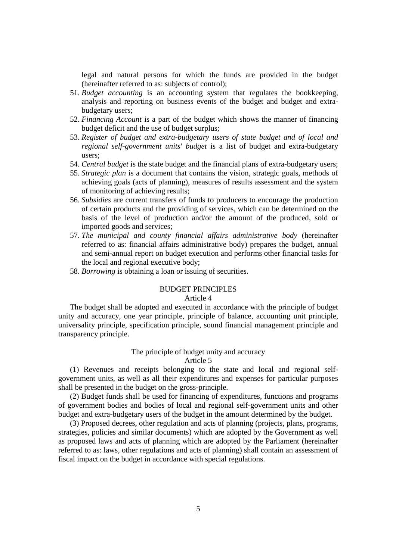legal and natural persons for which the funds are provided in the budget (hereinafter referred to as: subjects of control);

- 51. *Budget accounting* is an accounting system that regulates the bookkeeping, analysis and reporting on business events of the budget and budget and extrabudgetary users;
- 52. *Financing Account* is a part of the budget which shows the manner of financing budget deficit and the use of budget surplus;
- 53. *Register of budget and extra-budgetary users of state budget and of local and regional self-government units' budget* is a list of budget and extra-budgetary users;
- 54. *Central budget* is the state budget and the financial plans of extra-budgetary users;
- 55. *Strategic plan* is a document that contains the vision, strategic goals, methods of achieving goals (acts of planning), measures of results assessment and the system of monitoring of achieving results;
- 56. *Subsidies* are current transfers of funds to producers to encourage the production of certain products and the providing of services, which can be determined on the basis of the level of production and/or the amount of the produced, sold or imported goods and services;
- 57. *The municipal and county financial affairs administrative body* (hereinafter referred to as: financial affairs administrative body) prepares the budget, annual and semi-annual report on budget execution and performs other financial tasks for the local and regional executive body;
- 58. *Borrowing* is obtaining a loan or issuing of securities.

### BUDGET PRINCIPLES

# Article 4

The budget shall be adopted and executed in accordance with the principle of budget unity and accuracy, one year principle, principle of balance, accounting unit principle, universality principle, specification principle, sound financial management principle and transparency principle.

### The principle of budget unity and accuracy

### Article 5

(1) Revenues and receipts belonging to the state and local and regional selfgovernment units, as well as all their expenditures and expenses for particular purposes shall be presented in the budget on the gross-principle.

(2) Budget funds shall be used for financing of expenditures, functions and programs of government bodies and bodies of local and regional self-government units and other budget and extra-budgetary users of the budget in the amount determined by the budget.

(3) Proposed decrees, other regulation and acts of planning (projects, plans, programs, strategies, policies and similar documents) which are adopted by the Government as well as proposed laws and acts of planning which are adopted by the Parliament (hereinafter referred to as: laws, other regulations and acts of planning) shall contain an assessment of fiscal impact on the budget in accordance with special regulations.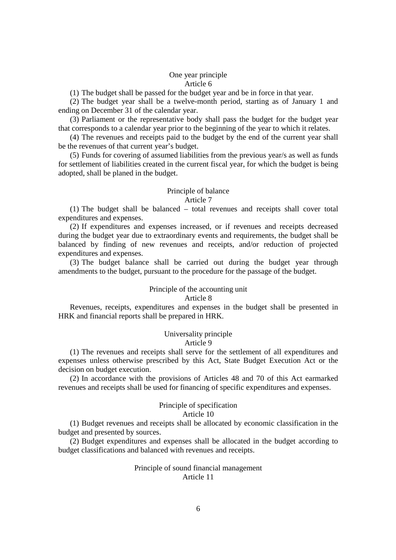# One year principle Article 6

(1) The budget shall be passed for the budget year and be in force in that year.

(2) The budget year shall be a twelve-month period, starting as of January 1 and ending on December 31 of the calendar year.

(3) Parliament or the representative body shall pass the budget for the budget year that corresponds to a calendar year prior to the beginning of the year to which it relates.

(4) The revenues and receipts paid to the budget by the end of the current year shall be the revenues of that current year's budget.

(5) Funds for covering of assumed liabilities from the previous year/s as well as funds for settlement of liabilities created in the current fiscal year, for which the budget is being adopted, shall be planed in the budget.

# Principle of balance

# Article 7

(1) The budget shall be balanced – total revenues and receipts shall cover total expenditures and expenses.

(2) If expenditures and expenses increased, or if revenues and receipts decreased during the budget year due to extraordinary events and requirements, the budget shall be balanced by finding of new revenues and receipts, and/or reduction of projected expenditures and expenses.

(3) The budget balance shall be carried out during the budget year through amendments to the budget, pursuant to the procedure for the passage of the budget.

# Principle of the accounting unit

### Article 8

Revenues, receipts, expenditures and expenses in the budget shall be presented in HRK and financial reports shall be prepared in HRK.

# Universality principle

### Article 9

(1) The revenues and receipts shall serve for the settlement of all expenditures and expenses unless otherwise prescribed by this Act, State Budget Execution Act or the decision on budget execution.

(2) In accordance with the provisions of Articles 48 and 70 of this Act earmarked revenues and receipts shall be used for financing of specific expenditures and expenses.

# Principle of specification

#### Article 10

(1) Budget revenues and receipts shall be allocated by economic classification in the budget and presented by sources.

(2) Budget expenditures and expenses shall be allocated in the budget according to budget classifications and balanced with revenues and receipts.

### Principle of sound financial management Article 11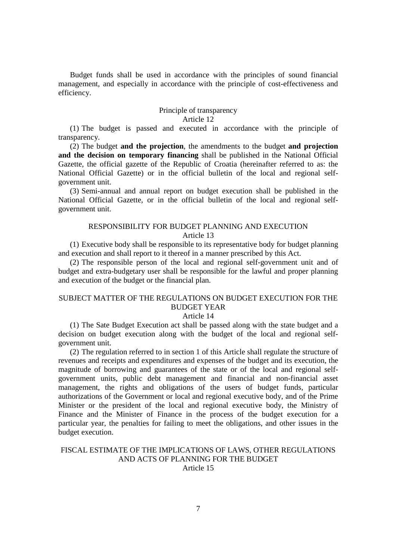Budget funds shall be used in accordance with the principles of sound financial management, and especially in accordance with the principle of cost-effectiveness and efficiency.

# Principle of transparency

# Article 12

(1) The budget is passed and executed in accordance with the principle of transparency.

(2) The budget **and the projection**, the amendments to the budget **and projection and the decision on temporary financing** shall be published in the National Official Gazette, the official gazette of the Republic of Croatia (hereinafter referred to as: the National Official Gazette) or in the official bulletin of the local and regional selfgovernment unit.

(3) Semi-annual and annual report on budget execution shall be published in the National Official Gazette, or in the official bulletin of the local and regional selfgovernment unit.

# RESPONSIBILITY FOR BUDGET PLANNING AND EXECUTION Article 13

(1) Executive body shall be responsible to its representative body for budget planning and execution and shall report to it thereof in a manner prescribed by this Act.

(2) The responsible person of the local and regional self-government unit and of budget and extra-budgetary user shall be responsible for the lawful and proper planning and execution of the budget or the financial plan.

# SUBJECT MATTER OF THE REGULATIONS ON BUDGET EXECUTION FOR THE BUDGET YEAR

### Article 14

(1) The Sate Budget Execution act shall be passed along with the state budget and a decision on budget execution along with the budget of the local and regional selfgovernment unit.

(2) The regulation referred to in section 1 of this Article shall regulate the structure of revenues and receipts and expenditures and expenses of the budget and its execution, the magnitude of borrowing and guarantees of the state or of the local and regional selfgovernment units, public debt management and financial and non-financial asset management, the rights and obligations of the users of budget funds, particular authorizations of the Government or local and regional executive body, and of the Prime Minister or the president of the local and regional executive body, the Ministry of Finance and the Minister of Finance in the process of the budget execution for a particular year, the penalties for failing to meet the obligations, and other issues in the budget execution.

## FISCAL ESTIMATE OF THE IMPLICATIONS OF LAWS, OTHER REGULATIONS AND ACTS OF PLANNING FOR THE BUDGET Article 15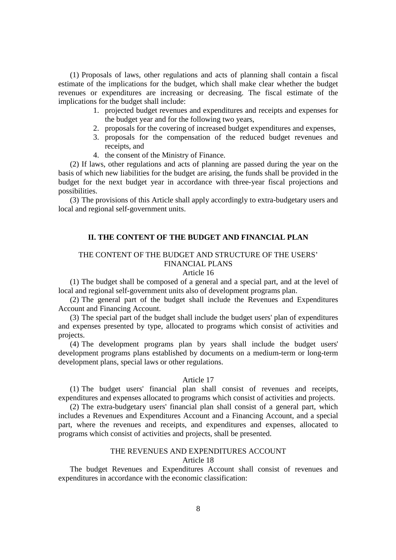(1) Proposals of laws, other regulations and acts of planning shall contain a fiscal estimate of the implications for the budget, which shall make clear whether the budget revenues or expenditures are increasing or decreasing. The fiscal estimate of the implications for the budget shall include:

- 1. projected budget revenues and expenditures and receipts and expenses for the budget year and for the following two years,
- 2. proposals for the covering of increased budget expenditures and expenses,
- 3. proposals for the compensation of the reduced budget revenues and receipts, and
- 4. the consent of the Ministry of Finance.

(2) If laws, other regulations and acts of planning are passed during the year on the basis of which new liabilities for the budget are arising, the funds shall be provided in the budget for the next budget year in accordance with three-year fiscal projections and possibilities.

(3) The provisions of this Article shall apply accordingly to extra-budgetary users and local and regional self-government units.

# **II. THE CONTENT OF THE BUDGET AND FINANCIAL PLAN**

# THE CONTENT OF THE BUDGET AND STRUCTURE OF THE USERS' FINANCIAL PLANS

## Article 16

(1) The budget shall be composed of a general and a special part, and at the level of local and regional self-government units also of development programs plan.

(2) The general part of the budget shall include the Revenues and Expenditures Account and Financing Account.

(3) The special part of the budget shall include the budget users' plan of expenditures and expenses presented by type, allocated to programs which consist of activities and projects.

(4) The development programs plan by years shall include the budget users' development programs plans established by documents on a medium-term or long-term development plans, special laws or other regulations.

### Article 17

(1) The budget users' financial plan shall consist of revenues and receipts, expenditures and expenses allocated to programs which consist of activities and projects.

(2) The extra-budgetary users' financial plan shall consist of a general part, which includes a Revenues and Expenditures Account and a Financing Account, and a special part, where the revenues and receipts, and expenditures and expenses, allocated to programs which consist of activities and projects, shall be presented.

# THE REVENUES AND EXPENDITURES ACCOUNT

# Article 18

The budget Revenues and Expenditures Account shall consist of revenues and expenditures in accordance with the economic classification: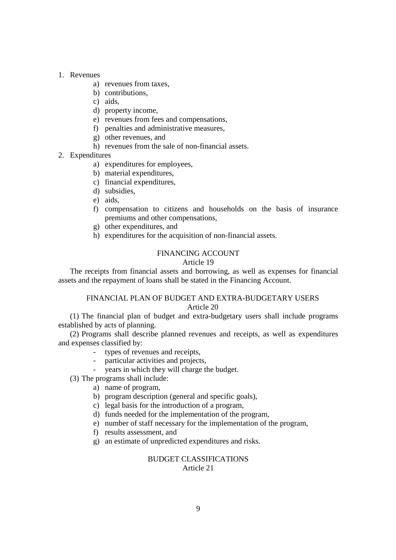### 1. Revenues

- a) revenues from taxes,
- b) contributions,
- c) aids,
- d) property income,
- e) revenues from fees and compensations,
- f) penalties and administrative measures,
- g) other revenues, and
- h) revenues from the sale of non-financial assets.

# 2. Expenditures

- a) expenditures for employees,
- b) material expenditures,
- c) financial expenditures,
- d) subsidies,
- e) aids,
- f) compensation to citizens and households on the basis of insurance premiums and other compensations,
- g) other expenditures, and
- h) expenditures for the acquisition of non-financial assets.

# FINANCING ACCOUNT

# Article 19

The receipts from financial assets and borrowing, as well as expenses for financial assets and the repayment of loans shall be stated in the Financing Account.

# FINANCIAL PLAN OF BUDGET AND EXTRA-BUDGETARY USERS Article 20

(1) The financial plan of budget and extra-budgetary users shall include programs established by acts of planning.

(2) Programs shall describe planned revenues and receipts, as well as expenditures and expenses classified by:

- types of revenues and receipts,
- particular activities and projects,
- years in which they will charge the budget.
- (3) The programs shall include:
	- a) name of program,
	- b) program description (general and specific goals),
	- c) legal basis for the introduction of a program,
	- d) funds needed for the implementation of the program,
	- e) number of staff necessary for the implementation of the program,
	- f) results assessment, and
	- g) an estimate of unpredicted expenditures and risks.

# BUDGET CLASSIFICATIONS Article 21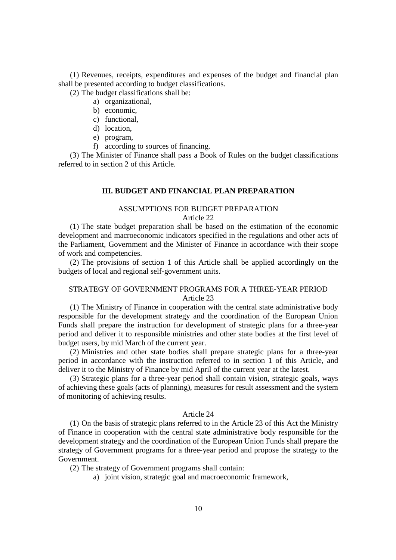(1) Revenues, receipts, expenditures and expenses of the budget and financial plan shall be presented according to budget classifications.

(2) The budget classifications shall be:

- a) organizational,
- b) economic,
- c) functional,
- d) location,
- e) program,
- f) according to sources of financing.

(3) The Minister of Finance shall pass a Book of Rules on the budget classifications referred to in section 2 of this Article.

### **III. BUDGET AND FINANCIAL PLAN PREPARATION**

### ASSUMPTIONS FOR BUDGET PREPARATION Article 22

(1) The state budget preparation shall be based on the estimation of the economic development and macroeconomic indicators specified in the regulations and other acts of the Parliament, Government and the Minister of Finance in accordance with their scope of work and competencies.

(2) The provisions of section 1 of this Article shall be applied accordingly on the budgets of local and regional self-government units.

# STRATEGY OF GOVERNMENT PROGRAMS FOR A THREE-YEAR PERIOD Article 23

(1) The Ministry of Finance in cooperation with the central state administrative body responsible for the development strategy and the coordination of the European Union Funds shall prepare the instruction for development of strategic plans for a three-year period and deliver it to responsible ministries and other state bodies at the first level of budget users, by mid March of the current year.

(2) Ministries and other state bodies shall prepare strategic plans for a three-year period in accordance with the instruction referred to in section 1 of this Article, and deliver it to the Ministry of Finance by mid April of the current year at the latest.

(3) Strategic plans for a three-year period shall contain vision, strategic goals, ways of achieving these goals (acts of planning), measures for result assessment and the system of monitoring of achieving results.

#### Article 24

(1) On the basis of strategic plans referred to in the Article 23 of this Act the Ministry of Finance in cooperation with the central state administrative body responsible for the development strategy and the coordination of the European Union Funds shall prepare the strategy of Government programs for a three-year period and propose the strategy to the Government.

(2) The strategy of Government programs shall contain:

a) joint vision, strategic goal and macroeconomic framework,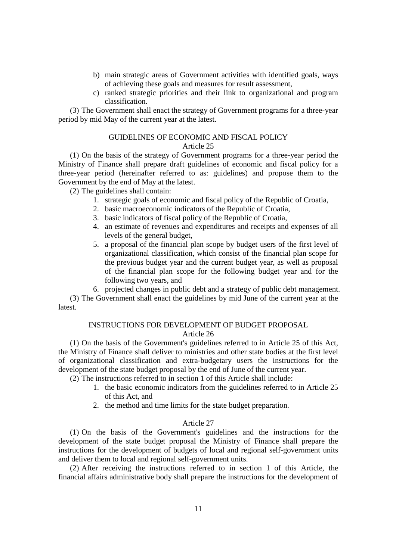- b) main strategic areas of Government activities with identified goals, ways of achieving these goals and measures for result assessment,
- c) ranked strategic priorities and their link to organizational and program classification.

(3) The Government shall enact the strategy of Government programs for a three-year period by mid May of the current year at the latest.

### GUIDELINES OF ECONOMIC AND FISCAL POLICY Article 25

(1) On the basis of the strategy of Government programs for a three-year period the Ministry of Finance shall prepare draft guidelines of economic and fiscal policy for a three-year period (hereinafter referred to as: guidelines) and propose them to the Government by the end of May at the latest.

(2) The guidelines shall contain:

- 1. strategic goals of economic and fiscal policy of the Republic of Croatia,
- 2. basic macroeconomic indicators of the Republic of Croatia,
- 3. basic indicators of fiscal policy of the Republic of Croatia,
- 4. an estimate of revenues and expenditures and receipts and expenses of all levels of the general budget,
- 5. a proposal of the financial plan scope by budget users of the first level of organizational classification, which consist of the financial plan scope for the previous budget year and the current budget year, as well as proposal of the financial plan scope for the following budget year and for the following two years, and

6. projected changes in public debt and a strategy of public debt management. (3) The Government shall enact the guidelines by mid June of the current year at the latest.

### INSTRUCTIONS FOR DEVELOPMENT OF BUDGET PROPOSAL

### Article 26

(1) On the basis of the Government's guidelines referred to in Article 25 of this Act, the Ministry of Finance shall deliver to ministries and other state bodies at the first level of organizational classification and extra-budgetary users the instructions for the development of the state budget proposal by the end of June of the current year.

(2) The instructions referred to in section 1 of this Article shall include:

- 1. the basic economic indicators from the guidelines referred to in Article 25 of this Act, and
- 2. the method and time limits for the state budget preparation.

#### Article 27

(1) On the basis of the Government's guidelines and the instructions for the development of the state budget proposal the Ministry of Finance shall prepare the instructions for the development of budgets of local and regional self-government units and deliver them to local and regional self-government units.

(2) After receiving the instructions referred to in section 1 of this Article, the financial affairs administrative body shall prepare the instructions for the development of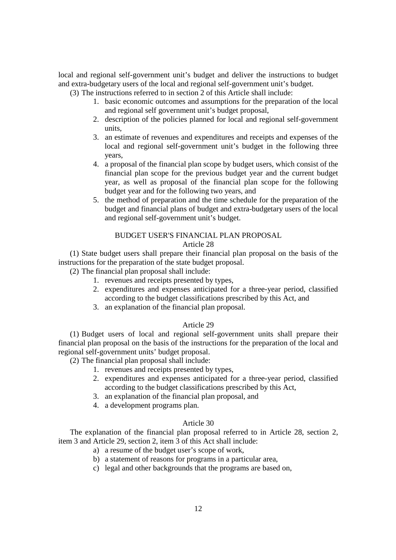local and regional self-government unit's budget and deliver the instructions to budget and extra-budgetary users of the local and regional self-government unit's budget.

(3) The instructions referred to in section 2 of this Article shall include:

- 1. basic economic outcomes and assumptions for the preparation of the local and regional self government unit's budget proposal,
- 2. description of the policies planned for local and regional self-government units,
- 3. an estimate of revenues and expenditures and receipts and expenses of the local and regional self-government unit's budget in the following three years,
- 4. a proposal of the financial plan scope by budget users, which consist of the financial plan scope for the previous budget year and the current budget year, as well as proposal of the financial plan scope for the following budget year and for the following two years, and
- 5. the method of preparation and the time schedule for the preparation of the budget and financial plans of budget and extra-budgetary users of the local and regional self-government unit's budget.

# BUDGET USER'S FINANCIAL PLAN PROPOSAL

### Article 28

(1) State budget users shall prepare their financial plan proposal on the basis of the instructions for the preparation of the state budget proposal.

(2) The financial plan proposal shall include:

- 1. revenues and receipts presented by types,
- 2. expenditures and expenses anticipated for a three-year period, classified according to the budget classifications prescribed by this Act, and
- 3. an explanation of the financial plan proposal.

## Article 29

(1) Budget users of local and regional self-government units shall prepare their financial plan proposal on the basis of the instructions for the preparation of the local and regional self-government units' budget proposal.

(2) The financial plan proposal shall include:

- 1. revenues and receipts presented by types,
- 2. expenditures and expenses anticipated for a three-year period, classified according to the budget classifications prescribed by this Act,
- 3. an explanation of the financial plan proposal, and
- 4. a development programs plan.

# Article 30

The explanation of the financial plan proposal referred to in Article 28, section 2, item 3 and Article 29, section 2, item 3 of this Act shall include:

- a) a resume of the budget user's scope of work,
- b) a statement of reasons for programs in a particular area,
- c) legal and other backgrounds that the programs are based on,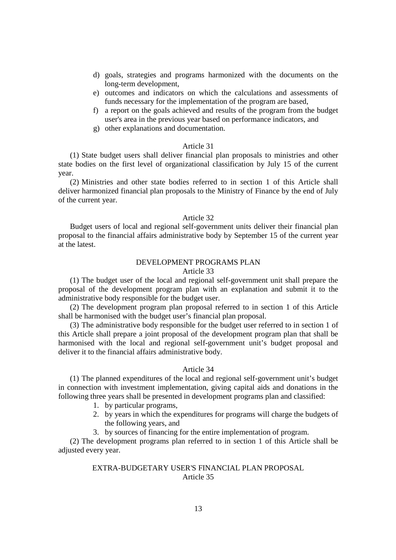- d) goals, strategies and programs harmonized with the documents on the long-term development,
- e) outcomes and indicators on which the calculations and assessments of funds necessary for the implementation of the program are based,
- f) a report on the goals achieved and results of the program from the budget user's area in the previous year based on performance indicators, and
- g) other explanations and documentation.

#### Article 31

(1) State budget users shall deliver financial plan proposals to ministries and other state bodies on the first level of organizational classification by July 15 of the current year.

(2) Ministries and other state bodies referred to in section 1 of this Article shall deliver harmonized financial plan proposals to the Ministry of Finance by the end of July of the current year.

## Article 32

Budget users of local and regional self-government units deliver their financial plan proposal to the financial affairs administrative body by September 15 of the current year at the latest.

# DEVELOPMENT PROGRAMS PLAN

# Article 33

(1) The budget user of the local and regional self-government unit shall prepare the proposal of the development program plan with an explanation and submit it to the administrative body responsible for the budget user.

(2) The development program plan proposal referred to in section 1 of this Article shall be harmonised with the budget user's financial plan proposal.

(3) The administrative body responsible for the budget user referred to in section 1 of this Article shall prepare a joint proposal of the development program plan that shall be harmonised with the local and regional self-government unit's budget proposal and deliver it to the financial affairs administrative body.

#### Article 34

(1) The planned expenditures of the local and regional self-government unit's budget in connection with investment implementation, giving capital aids and donations in the following three years shall be presented in development programs plan and classified:

- 1. by particular programs,
- 2. by years in which the expenditures for programs will charge the budgets of the following years, and
- 3. by sources of financing for the entire implementation of program.

(2) The development programs plan referred to in section 1 of this Article shall be adjusted every year.

# EXTRA-BUDGETARY USER'S FINANCIAL PLAN PROPOSAL Article 35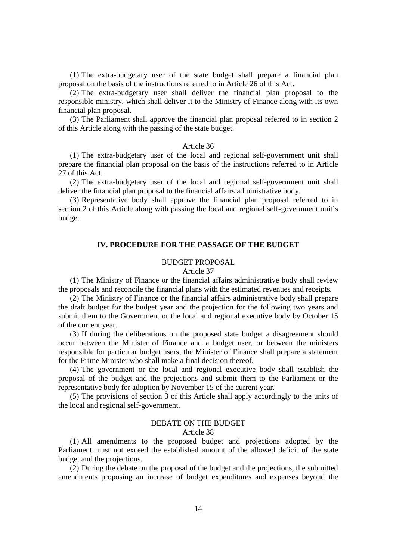(1) The extra-budgetary user of the state budget shall prepare a financial plan proposal on the basis of the instructions referred to in Article 26 of this Act.

(2) The extra-budgetary user shall deliver the financial plan proposal to the responsible ministry, which shall deliver it to the Ministry of Finance along with its own financial plan proposal.

(3) The Parliament shall approve the financial plan proposal referred to in section 2 of this Article along with the passing of the state budget.

#### Article 36

(1) The extra-budgetary user of the local and regional self-government unit shall prepare the financial plan proposal on the basis of the instructions referred to in Article 27 of this Act.

(2) The extra-budgetary user of the local and regional self-government unit shall deliver the financial plan proposal to the financial affairs administrative body.

(3) Representative body shall approve the financial plan proposal referred to in section 2 of this Article along with passing the local and regional self-government unit's budget.

### **IV. PROCEDURE FOR THE PASSAGE OF THE BUDGET**

## BUDGET PROPOSAL

#### Article 37

(1) The Ministry of Finance or the financial affairs administrative body shall review the proposals and reconcile the financial plans with the estimated revenues and receipts.

(2) The Ministry of Finance or the financial affairs administrative body shall prepare the draft budget for the budget year and the projection for the following two years and submit them to the Government or the local and regional executive body by October 15 of the current year.

(3) If during the deliberations on the proposed state budget a disagreement should occur between the Minister of Finance and a budget user, or between the ministers responsible for particular budget users, the Minister of Finance shall prepare a statement for the Prime Minister who shall make a final decision thereof.

(4) The government or the local and regional executive body shall establish the proposal of the budget and the projections and submit them to the Parliament or the representative body for adoption by November 15 of the current year.

(5) The provisions of section 3 of this Article shall apply accordingly to the units of the local and regional self-government.

## DEBATE ON THE BUDGET

#### Article 38

(1) All amendments to the proposed budget and projections adopted by the Parliament must not exceed the established amount of the allowed deficit of the state budget and the projections.

(2) During the debate on the proposal of the budget and the projections, the submitted amendments proposing an increase of budget expenditures and expenses beyond the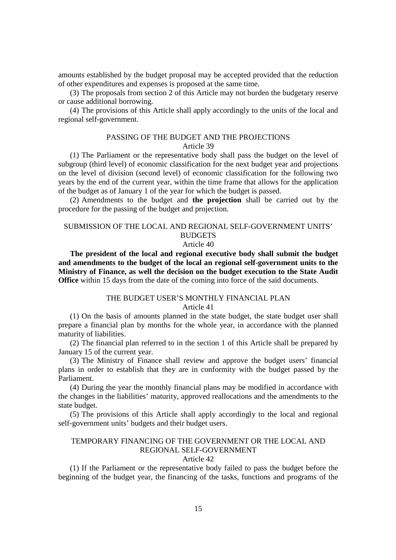amounts established by the budget proposal may be accepted provided that the reduction of other expenditures and expenses is proposed at the same time.

(3) The proposals from section 2 of this Article may not burden the budgetary reserve or cause additional borrowing.

(4) The provisions of this Article shall apply accordingly to the units of the local and regional self-government.

### PASSING OF THE BUDGET AND THE PROJECTIONS Article 39

(1) The Parliament or the representative body shall pass the budget on the level of subgroup (third level) of economic classification for the next budget year and projections on the level of division (second level) of economic classification for the following two years by the end of the current year, within the time frame that allows for the application of the budget as of January 1 of the year for which the budget is passed.

(2) Amendments to the budget and **the projection** shall be carried out by the procedure for the passing of the budget and projection.

# SUBMISSION OF THE LOCAL AND REGIONAL SELF-GOVERNMENT UNITS' **BUDGETS**

### Article 40

**The president of the local and regional executive body shall submit the budget and amendments to the budget of the local an regional self-government units to the Ministry of Finance, as well the decision on the budget execution to the State Audit Office** within 15 days from the date of the coming into force of the said documents.

## THE BUDGET USER'S MONTHLY FINANCIAL PLAN Article 41

(1) On the basis of amounts planned in the state budget, the state budget user shall prepare a financial plan by months for the whole year, in accordance with the planned maturity of liabilities.

(2) The financial plan referred to in the section 1 of this Article shall be prepared by January 15 of the current year.

(3) The Ministry of Finance shall review and approve the budget users' financial plans in order to establish that they are in conformity with the budget passed by the Parliament.

(4) During the year the monthly financial plans may be modified in accordance with the changes in the liabilities' maturity, approved reallocations and the amendments to the state budget.

(5) The provisions of this Article shall apply accordingly to the local and regional self-government units' budgets and their budget users.

# TEMPORARY FINANCING OF THE GOVERNMENT OR THE LOCAL AND REGIONAL SELF-GOVERNMENT

#### Article 42

(1) If the Parliament or the representative body failed to pass the budget before the beginning of the budget year, the financing of the tasks, functions and programs of the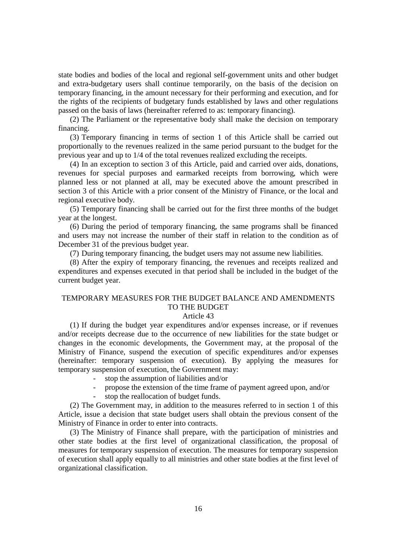state bodies and bodies of the local and regional self-government units and other budget and extra-budgetary users shall continue temporarily, on the basis of the decision on temporary financing, in the amount necessary for their performing and execution, and for the rights of the recipients of budgetary funds established by laws and other regulations passed on the basis of laws (hereinafter referred to as: temporary financing).

(2) The Parliament or the representative body shall make the decision on temporary financing.

(3) Temporary financing in terms of section 1 of this Article shall be carried out proportionally to the revenues realized in the same period pursuant to the budget for the previous year and up to 1/4 of the total revenues realized excluding the receipts.

(4) In an exception to section 3 of this Article, paid and carried over aids, donations, revenues for special purposes and earmarked receipts from borrowing, which were planned less or not planned at all, may be executed above the amount prescribed in section 3 of this Article with a prior consent of the Ministry of Finance, or the local and regional executive body.

(5) Temporary financing shall be carried out for the first three months of the budget year at the longest.

(6) During the period of temporary financing, the same programs shall be financed and users may not increase the number of their staff in relation to the condition as of December 31 of the previous budget year.

(7) During temporary financing, the budget users may not assume new liabilities.

(8) After the expiry of temporary financing, the revenues and receipts realized and expenditures and expenses executed in that period shall be included in the budget of the current budget year.

# TEMPORARY MEASURES FOR THE BUDGET BALANCE AND AMENDMENTS TO THE BUDGET

### Article 43

(1) If during the budget year expenditures and/or expenses increase, or if revenues and/or receipts decrease due to the occurrence of new liabilities for the state budget or changes in the economic developments, the Government may, at the proposal of the Ministry of Finance, suspend the execution of specific expenditures and/or expenses (hereinafter: temporary suspension of execution). By applying the measures for temporary suspension of execution, the Government may:

- stop the assumption of liabilities and/or
- propose the extension of the time frame of payment agreed upon, and/or
- stop the reallocation of budget funds.

(2) The Government may, in addition to the measures referred to in section 1 of this Article, issue a decision that state budget users shall obtain the previous consent of the Ministry of Finance in order to enter into contracts.

(3) The Ministry of Finance shall prepare, with the participation of ministries and other state bodies at the first level of organizational classification, the proposal of measures for temporary suspension of execution. The measures for temporary suspension of execution shall apply equally to all ministries and other state bodies at the first level of organizational classification.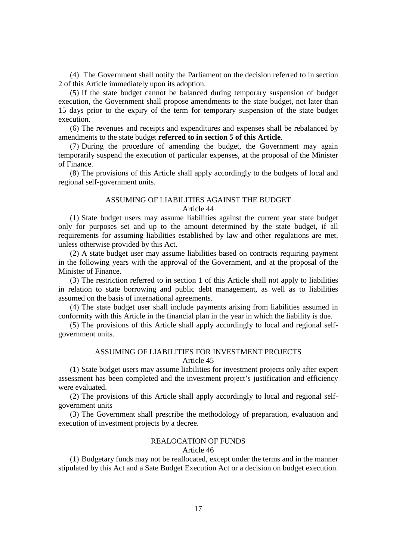(4) The Government shall notify the Parliament on the decision referred to in section 2 of this Article immediately upon its adoption.

(5) If the state budget cannot be balanced during temporary suspension of budget execution, the Government shall propose amendments to the state budget, not later than 15 days prior to the expiry of the term for temporary suspension of the state budget execution.

(6) The revenues and receipts and expenditures and expenses shall be rebalanced by amendments to the state budget **referred to in section 5 of this Article**.

(7) During the procedure of amending the budget, the Government may again temporarily suspend the execution of particular expenses, at the proposal of the Minister of Finance.

(8) The provisions of this Article shall apply accordingly to the budgets of local and regional self-government units.

### ASSUMING OF LIABILITIES AGAINST THE BUDGET Article 44

(1) State budget users may assume liabilities against the current year state budget only for purposes set and up to the amount determined by the state budget, if all requirements for assuming liabilities established by law and other regulations are met, unless otherwise provided by this Act.

(2) A state budget user may assume liabilities based on contracts requiring payment in the following years with the approval of the Government, and at the proposal of the Minister of Finance.

(3) The restriction referred to in section 1 of this Article shall not apply to liabilities in relation to state borrowing and public debt management, as well as to liabilities assumed on the basis of international agreements.

(4) The state budget user shall include payments arising from liabilities assumed in conformity with this Article in the financial plan in the year in which the liability is due.

(5) The provisions of this Article shall apply accordingly to local and regional selfgovernment units.

## ASSUMING OF LIABILITIES FOR INVESTMENT PROJECTS Article 45

(1) State budget users may assume liabilities for investment projects only after expert assessment has been completed and the investment project's justification and efficiency were evaluated.

(2) The provisions of this Article shall apply accordingly to local and regional selfgovernment units

(3) The Government shall prescribe the methodology of preparation, evaluation and execution of investment projects by a decree.

# REALOCATION OF FUNDS

# Article 46

(1) Budgetary funds may not be reallocated, except under the terms and in the manner stipulated by this Act and a Sate Budget Execution Act or a decision on budget execution.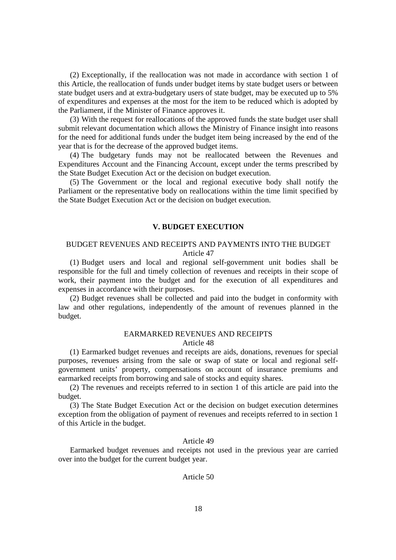(2) Exceptionally, if the reallocation was not made in accordance with section 1 of this Article, the reallocation of funds under budget items by state budget users or between state budget users and at extra-budgetary users of state budget, may be executed up to 5% of expenditures and expenses at the most for the item to be reduced which is adopted by the Parliament, if the Minister of Finance approves it.

(3) With the request for reallocations of the approved funds the state budget user shall submit relevant documentation which allows the Ministry of Finance insight into reasons for the need for additional funds under the budget item being increased by the end of the year that is for the decrease of the approved budget items.

(4) The budgetary funds may not be reallocated between the Revenues and Expenditures Account and the Financing Account, except under the terms prescribed by the State Budget Execution Act or the decision on budget execution.

(5) The Government or the local and regional executive body shall notify the Parliament or the representative body on reallocations within the time limit specified by the State Budget Execution Act or the decision on budget execution.

## **V. BUDGET EXECUTION**

## BUDGET REVENUES AND RECEIPTS AND PAYMENTS INTO THE BUDGET Article 47

(1) Budget users and local and regional self-government unit bodies shall be responsible for the full and timely collection of revenues and receipts in their scope of work, their payment into the budget and for the execution of all expenditures and expenses in accordance with their purposes.

(2) Budget revenues shall be collected and paid into the budget in conformity with law and other regulations, independently of the amount of revenues planned in the budget.

### EARMARKED REVENUES AND RECEIPTS Article 48

(1) Earmarked budget revenues and receipts are aids, donations, revenues for special purposes, revenues arising from the sale or swap of state or local and regional selfgovernment units' property, compensations on account of insurance premiums and earmarked receipts from borrowing and sale of stocks and equity shares.

(2) The revenues and receipts referred to in section 1 of this article are paid into the budget.

(3) The State Budget Execution Act or the decision on budget execution determines exception from the obligation of payment of revenues and receipts referred to in section 1 of this Article in the budget.

### Article 49

Earmarked budget revenues and receipts not used in the previous year are carried over into the budget for the current budget year.

## Article 50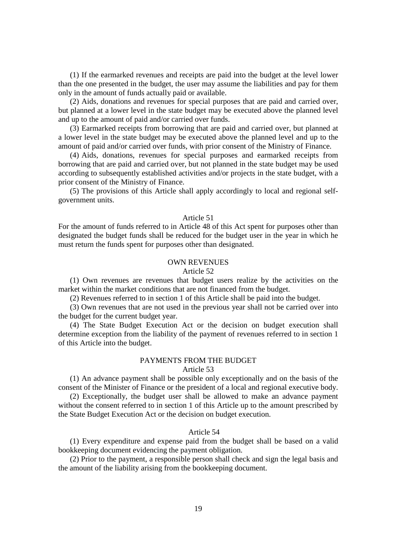(1) If the earmarked revenues and receipts are paid into the budget at the level lower than the one presented in the budget, the user may assume the liabilities and pay for them only in the amount of funds actually paid or available.

(2) Aids, donations and revenues for special purposes that are paid and carried over, but planned at a lower level in the state budget may be executed above the planned level and up to the amount of paid and/or carried over funds.

(3) Earmarked receipts from borrowing that are paid and carried over, but planned at a lower level in the state budget may be executed above the planned level and up to the amount of paid and/or carried over funds, with prior consent of the Ministry of Finance.

(4) Aids, donations, revenues for special purposes and earmarked receipts from borrowing that are paid and carried over, but not planned in the state budget may be used according to subsequently established activities and/or projects in the state budget, with a prior consent of the Ministry of Finance.

(5) The provisions of this Article shall apply accordingly to local and regional selfgovernment units.

## Article 51

For the amount of funds referred to in Article 48 of this Act spent for purposes other than designated the budget funds shall be reduced for the budget user in the year in which he must return the funds spent for purposes other than designated.

### OWN REVENUES

#### Article 52

(1) Own revenues are revenues that budget users realize by the activities on the market within the market conditions that are not financed from the budget.

(2) Revenues referred to in section 1 of this Article shall be paid into the budget.

(3) Own revenues that are not used in the previous year shall not be carried over into the budget for the current budget year.

(4) The State Budget Execution Act or the decision on budget execution shall determine exception from the liability of the payment of revenues referred to in section 1 of this Article into the budget.

# PAYMENTS FROM THE BUDGET

## Article 53

(1) An advance payment shall be possible only exceptionally and on the basis of the consent of the Minister of Finance or the president of a local and regional executive body.

(2) Exceptionally, the budget user shall be allowed to make an advance payment without the consent referred to in section 1 of this Article up to the amount prescribed by the State Budget Execution Act or the decision on budget execution.

## Article 54

(1) Every expenditure and expense paid from the budget shall be based on a valid bookkeeping document evidencing the payment obligation.

(2) Prior to the payment, a responsible person shall check and sign the legal basis and the amount of the liability arising from the bookkeeping document.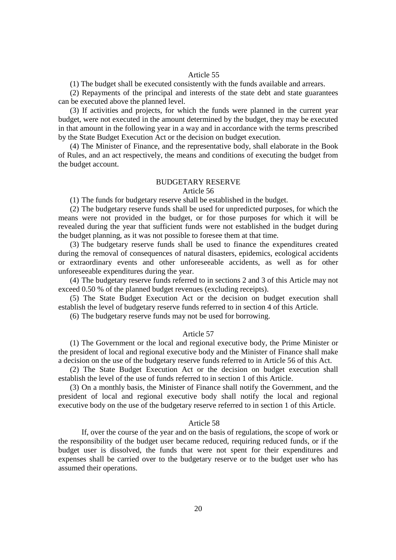#### Article 55

(1) The budget shall be executed consistently with the funds available and arrears.

(2) Repayments of the principal and interests of the state debt and state guarantees can be executed above the planned level.

(3) If activities and projects, for which the funds were planned in the current year budget, were not executed in the amount determined by the budget, they may be executed in that amount in the following year in a way and in accordance with the terms prescribed by the State Budget Execution Act or the decision on budget execution.

(4) The Minister of Finance, and the representative body, shall elaborate in the Book of Rules, and an act respectively, the means and conditions of executing the budget from the budget account.

### BUDGETARY RESERVE

### Article 56

(1) The funds for budgetary reserve shall be established in the budget.

(2) The budgetary reserve funds shall be used for unpredicted purposes, for which the means were not provided in the budget, or for those purposes for which it will be revealed during the year that sufficient funds were not established in the budget during the budget planning, as it was not possible to foresee them at that time.

(3) The budgetary reserve funds shall be used to finance the expenditures created during the removal of consequences of natural disasters, epidemics, ecological accidents or extraordinary events and other unforeseeable accidents, as well as for other unforeseeable expenditures during the year.

(4) The budgetary reserve funds referred to in sections 2 and 3 of this Article may not exceed 0.50 % of the planned budget revenues (excluding receipts).

(5) The State Budget Execution Act or the decision on budget execution shall establish the level of budgetary reserve funds referred to in section 4 of this Article.

(6) The budgetary reserve funds may not be used for borrowing.

#### Article 57

(1) The Government or the local and regional executive body, the Prime Minister or the president of local and regional executive body and the Minister of Finance shall make a decision on the use of the budgetary reserve funds referred to in Article 56 of this Act.

(2) The State Budget Execution Act or the decision on budget execution shall establish the level of the use of funds referred to in section 1 of this Article.

(3) On a monthly basis, the Minister of Finance shall notify the Government, and the president of local and regional executive body shall notify the local and regional executive body on the use of the budgetary reserve referred to in section 1 of this Article.

#### Article 58

If, over the course of the year and on the basis of regulations, the scope of work or the responsibility of the budget user became reduced, requiring reduced funds, or if the budget user is dissolved, the funds that were not spent for their expenditures and expenses shall be carried over to the budgetary reserve or to the budget user who has assumed their operations.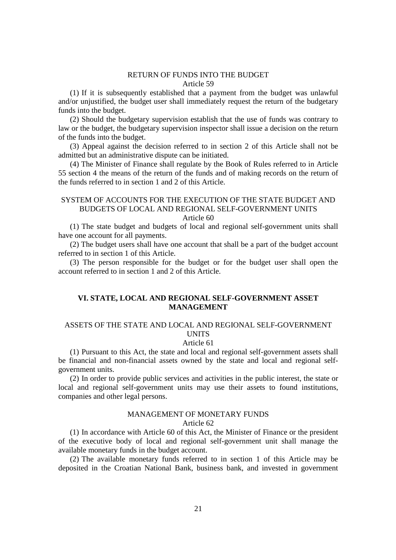### RETURN OF FUNDS INTO THE BUDGET Article 59

(1) If it is subsequently established that a payment from the budget was unlawful and/or unjustified, the budget user shall immediately request the return of the budgetary funds into the budget.

(2) Should the budgetary supervision establish that the use of funds was contrary to law or the budget, the budgetary supervision inspector shall issue a decision on the return of the funds into the budget.

(3) Appeal against the decision referred to in section 2 of this Article shall not be admitted but an administrative dispute can be initiated.

(4) The Minister of Finance shall regulate by the Book of Rules referred to in Article 55 section 4 the means of the return of the funds and of making records on the return of the funds referred to in section 1 and 2 of this Article.

# SYSTEM OF ACCOUNTS FOR THE EXECUTION OF THE STATE BUDGET AND BUDGETS OF LOCAL AND REGIONAL SELF-GOVERNMENT UNITS Article 60

(1) The state budget and budgets of local and regional self-government units shall have one account for all payments.

(2) The budget users shall have one account that shall be a part of the budget account referred to in section 1 of this Article.

(3) The person responsible for the budget or for the budget user shall open the account referred to in section 1 and 2 of this Article.

# **VI. STATE, LOCAL AND REGIONAL SELF-GOVERNMENT ASSET MANAGEMENT**

# ASSETS OF THE STATE AND LOCAL AND REGIONAL SELF-GOVERNMENT UNITS

# Article 61

(1) Pursuant to this Act, the state and local and regional self-government assets shall be financial and non-financial assets owned by the state and local and regional selfgovernment units.

(2) In order to provide public services and activities in the public interest, the state or local and regional self-government units may use their assets to found institutions, companies and other legal persons.

### MANAGEMENT OF MONETARY FUNDS Article 62

(1) In accordance with Article 60 of this Act, the Minister of Finance or the president of the executive body of local and regional self-government unit shall manage the available monetary funds in the budget account.

(2) The available monetary funds referred to in section 1 of this Article may be deposited in the Croatian National Bank, business bank, and invested in government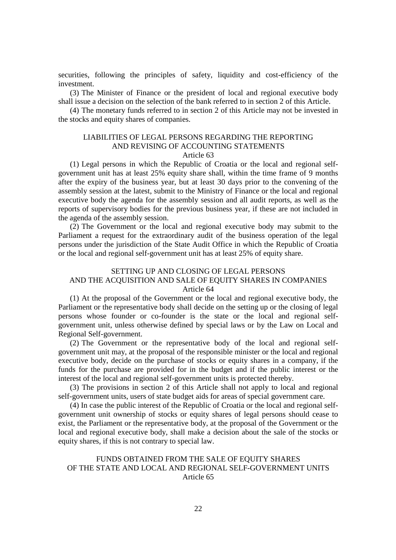securities, following the principles of safety, liquidity and cost-efficiency of the investment.

(3) The Minister of Finance or the president of local and regional executive body shall issue a decision on the selection of the bank referred to in section 2 of this Article.

(4) The monetary funds referred to in section 2 of this Article may not be invested in the stocks and equity shares of companies.

# LIABILITIES OF LEGAL PERSONS REGARDING THE REPORTING AND REVISING OF ACCOUNTING STATEMENTS Article 63

(1) Legal persons in which the Republic of Croatia or the local and regional selfgovernment unit has at least 25% equity share shall, within the time frame of 9 months after the expiry of the business year, but at least 30 days prior to the convening of the assembly session at the latest, submit to the Ministry of Finance or the local and regional executive body the agenda for the assembly session and all audit reports, as well as the reports of supervisory bodies for the previous business year, if these are not included in the agenda of the assembly session.

(2) The Government or the local and regional executive body may submit to the Parliament a request for the extraordinary audit of the business operation of the legal persons under the jurisdiction of the State Audit Office in which the Republic of Croatia or the local and regional self-government unit has at least 25% of equity share.

# SETTING UP AND CLOSING OF LEGAL PERSONS AND THE ACQUISITION AND SALE OF EQUITY SHARES IN COMPANIES Article 64

(1) At the proposal of the Government or the local and regional executive body, the Parliament or the representative body shall decide on the setting up or the closing of legal persons whose founder or co-founder is the state or the local and regional selfgovernment unit, unless otherwise defined by special laws or by the Law on Local and Regional Self-government.

(2) The Government or the representative body of the local and regional selfgovernment unit may, at the proposal of the responsible minister or the local and regional executive body, decide on the purchase of stocks or equity shares in a company, if the funds for the purchase are provided for in the budget and if the public interest or the interest of the local and regional self-government units is protected thereby.

(3) The provisions in section 2 of this Article shall not apply to local and regional self-government units, users of state budget aids for areas of special government care.

(4) In case the public interest of the Republic of Croatia or the local and regional selfgovernment unit ownership of stocks or equity shares of legal persons should cease to exist, the Parliament or the representative body, at the proposal of the Government or the local and regional executive body, shall make a decision about the sale of the stocks or equity shares, if this is not contrary to special law.

# FUNDS OBTAINED FROM THE SALE OF EQUITY SHARES OF THE STATE AND LOCAL AND REGIONAL SELF-GOVERNMENT UNITS Article 65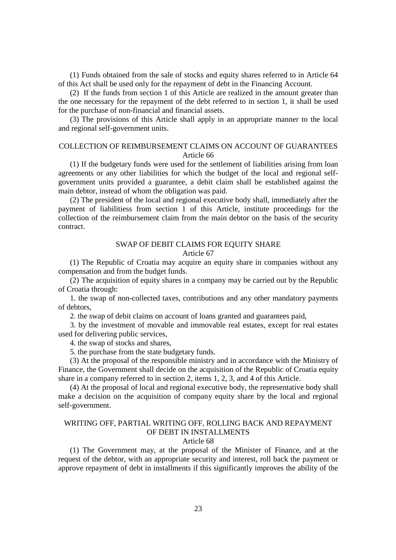(1) Funds obtained from the sale of stocks and equity shares referred to in Article 64 of this Act shall be used only for the repayment of debt in the Financing Account.

(2) If the funds from section 1 of this Article are realized in the amount greater than the one necessary for the repayment of the debt referred to in section 1, it shall be used for the purchase of non-financial and financial assets.

(3) The provisions of this Article shall apply in an appropriate manner to the local and regional self-government units.

# COLLECTION OF REIMBURSEMENT CLAIMS ON ACCOUNT OF GUARANTEES Article 66

(1) If the budgetary funds were used for the settlement of liabilities arising from loan agreements or any other liabilities for which the budget of the local and regional selfgovernment units provided a guarantee, a debit claim shall be established against the main debtor, instead of whom the obligation was paid.

(2) The president of the local and regional executive body shall, immediately after the payment of liabilitiess from section 1 of this Article, institute proceedings for the collection of the reimbursement claim from the main debtor on the basis of the security contract.

#### SWAP OF DEBIT CLAIMS FOR EQUITY SHARE Article 67

(1) The Republic of Croatia may acquire an equity share in companies without any compensation and from the budget funds.

(2) The acquisition of equity shares in a company may be carried out by the Republic of Croatia through:

1. the swap of non-collected taxes, contributions and any other mandatory payments of debtors,

2. the swap of debit claims on account of loans granted and guarantees paid,

3. by the investment of movable and immovable real estates, except for real estates used for delivering public services,

4. the swap of stocks and shares,

5. the purchase from the state budgetary funds.

(3) At the proposal of the responsible ministry and in accordance with the Ministry of Finance, the Government shall decide on the acquisition of the Republic of Croatia equity share in a company referred to in section 2, items 1, 2, 3, and 4 of this Article.

(4) At the proposal of local and regional executive body, the representative body shall make a decision on the acquisition of company equity share by the local and regional self-government.

# WRITING OFF, PARTIAL WRITING OFF, ROLLING BACK AND REPAYMENT OF DEBT IN INSTALLMENTS

### Article 68

(1) The Government may, at the proposal of the Minister of Finance, and at the request of the debtor, with an appropriate security and interest, roll back the payment or approve repayment of debt in installments if this significantly improves the ability of the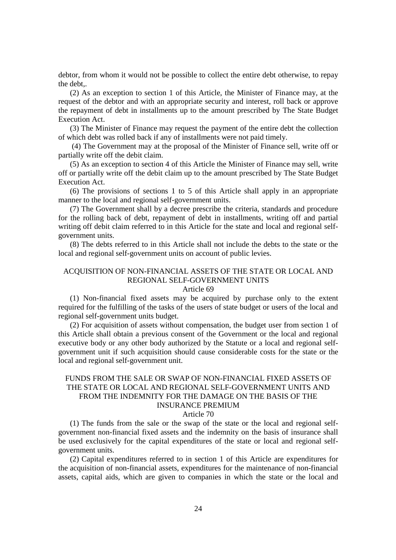debtor, from whom it would not be possible to collect the entire debt otherwise, to repay the debt,.

(2) As an exception to section 1 of this Article, the Minister of Finance may, at the request of the debtor and with an appropriate security and interest, roll back or approve the repayment of debt in installments up to the amount prescribed by The State Budget Execution Act.

(3) The Minister of Finance may request the payment of the entire debt the collection of which debt was rolled back if any of installments were not paid timely.

 (4) The Government may at the proposal of the Minister of Finance sell, write off or partially write off the debit claim.

(5) As an exception to section 4 of this Article the Minister of Finance may sell, write off or partially write off the debit claim up to the amount prescribed by The State Budget Execution Act.

(6) The provisions of sections 1 to 5 of this Article shall apply in an appropriate manner to the local and regional self-government units.

(7) The Government shall by a decree prescribe the criteria, standards and procedure for the rolling back of debt, repayment of debt in installments, writing off and partial writing off debit claim referred to in this Article for the state and local and regional selfgovernment units.

(8) The debts referred to in this Article shall not include the debts to the state or the local and regional self-government units on account of public levies.

# ACQUISITION OF NON-FINANCIAL ASSETS OF THE STATE OR LOCAL AND REGIONAL SELF-GOVERNMENT UNITS

#### Article 69

(1) Non-financial fixed assets may be acquired by purchase only to the extent required for the fulfilling of the tasks of the users of state budget or users of the local and regional self-government units budget.

(2) For acquisition of assets without compensation, the budget user from section 1 of this Article shall obtain a previous consent of the Government or the local and regional executive body or any other body authorized by the Statute or a local and regional selfgovernment unit if such acquisition should cause considerable costs for the state or the local and regional self-government unit.

# FUNDS FROM THE SALE OR SWAP OF NON-FINANCIAL FIXED ASSETS OF THE STATE OR LOCAL AND REGIONAL SELF-GOVERNMENT UNITS AND FROM THE INDEMNITY FOR THE DAMAGE ON THE BASIS OF THE INSURANCE PREMIUM

#### Article 70

(1) The funds from the sale or the swap of the state or the local and regional selfgovernment non-financial fixed assets and the indemnity on the basis of insurance shall be used exclusively for the capital expenditures of the state or local and regional selfgovernment units.

(2) Capital expenditures referred to in section 1 of this Article are expenditures for the acquisition of non-financial assets, expenditures for the maintenance of non-financial assets, capital aids, which are given to companies in which the state or the local and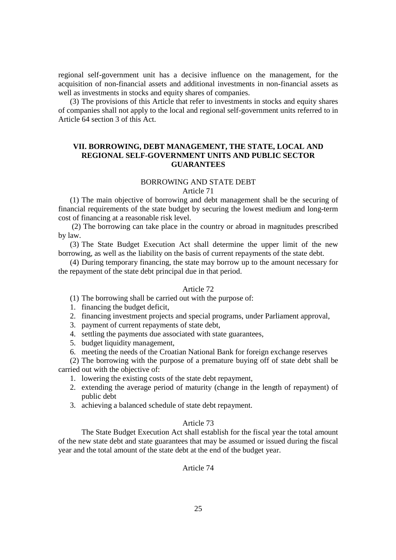regional self-government unit has a decisive influence on the management, for the acquisition of non-financial assets and additional investments in non-financial assets as well as investments in stocks and equity shares of companies.

(3) The provisions of this Article that refer to investments in stocks and equity shares of companies shall not apply to the local and regional self-government units referred to in Article 64 section 3 of this Act.

# **VII. BORROWING, DEBT MANAGEMENT, THE STATE, LOCAL AND REGIONAL SELF-GOVERNMENT UNITS AND PUBLIC SECTOR GUARANTEES**

#### BORROWING AND STATE DEBT

## Article 71

(1) The main objective of borrowing and debt management shall be the securing of financial requirements of the state budget by securing the lowest medium and long-term cost of financing at a reasonable risk level.

 (2) The borrowing can take place in the country or abroad in magnitudes prescribed by law.

(3) The State Budget Execution Act shall determine the upper limit of the new borrowing, as well as the liability on the basis of current repayments of the state debt.

(4) During temporary financing, the state may borrow up to the amount necessary for the repayment of the state debt principal due in that period.

### Article 72

(1) The borrowing shall be carried out with the purpose of:

- 1. financing the budget deficit,
- 2. financing investment projects and special programs, under Parliament approval,
- 3. payment of current repayments of state debt,
- 4. settling the payments due associated with state guarantees,
- 5. budget liquidity management,
- 6. meeting the needs of the Croatian National Bank for foreign exchange reserves

(2) The borrowing with the purpose of a premature buying off of state debt shall be carried out with the objective of:

- 1. lowering the existing costs of the state debt repayment,
- 2. extending the average period of maturity (change in the length of repayment) of public debt
- 3. achieving a balanced schedule of state debt repayment.

# Article 73

The State Budget Execution Act shall establish for the fiscal year the total amount of the new state debt and state guarantees that may be assumed or issued during the fiscal year and the total amount of the state debt at the end of the budget year.

# Article 74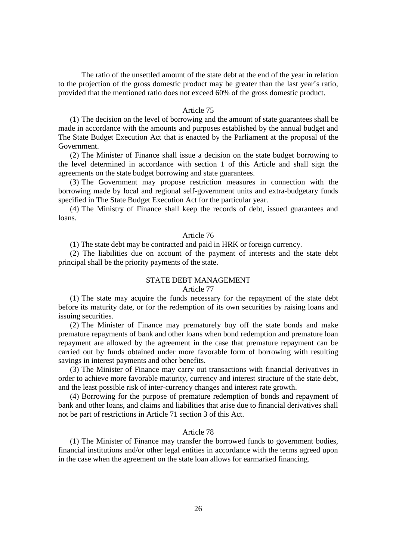The ratio of the unsettled amount of the state debt at the end of the year in relation to the projection of the gross domestic product may be greater than the last year's ratio, provided that the mentioned ratio does not exceed 60% of the gross domestic product.

#### Article 75

(1) The decision on the level of borrowing and the amount of state guarantees shall be made in accordance with the amounts and purposes established by the annual budget and The State Budget Execution Act that is enacted by the Parliament at the proposal of the Government.

(2) The Minister of Finance shall issue a decision on the state budget borrowing to the level determined in accordance with section 1 of this Article and shall sign the agreements on the state budget borrowing and state guarantees.

(3) The Government may propose restriction measures in connection with the borrowing made by local and regional self-government units and extra-budgetary funds specified in The State Budget Execution Act for the particular year.

(4) The Ministry of Finance shall keep the records of debt, issued guarantees and loans.

# Article 76

(1) The state debt may be contracted and paid in HRK or foreign currency.

(2) The liabilities due on account of the payment of interests and the state debt principal shall be the priority payments of the state.

### STATE DEBT MANAGEMENT

#### Article 77

(1) The state may acquire the funds necessary for the repayment of the state debt before its maturity date, or for the redemption of its own securities by raising loans and issuing securities.

(2) The Minister of Finance may prematurely buy off the state bonds and make premature repayments of bank and other loans when bond redemption and premature loan repayment are allowed by the agreement in the case that premature repayment can be carried out by funds obtained under more favorable form of borrowing with resulting savings in interest payments and other benefits.

(3) The Minister of Finance may carry out transactions with financial derivatives in order to achieve more favorable maturity, currency and interest structure of the state debt, and the least possible risk of inter-currency changes and interest rate growth.

(4) Borrowing for the purpose of premature redemption of bonds and repayment of bank and other loans, and claims and liabilities that arise due to financial derivatives shall not be part of restrictions in Article 71 section 3 of this Act.

# Article 78

(1) The Minister of Finance may transfer the borrowed funds to government bodies, financial institutions and/or other legal entities in accordance with the terms agreed upon in the case when the agreement on the state loan allows for earmarked financing.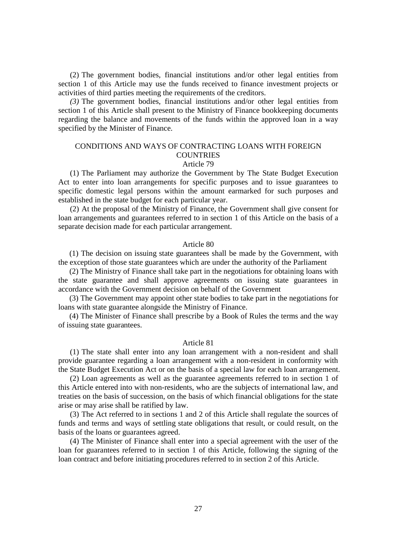(2) The government bodies, financial institutions and/or other legal entities from section 1 of this Article may use the funds received to finance investment projects or activities of third parties meeting the requirements of the creditors.

*(3)* The government bodies, financial institutions and/or other legal entities from section 1 of this Article shall present to the Ministry of Finance bookkeeping documents regarding the balance and movements of the funds within the approved loan in a way specified by the Minister of Finance.

# CONDITIONS AND WAYS OF CONTRACTING LOANS WITH FOREIGN **COUNTRIES**

# Article 79

(1) The Parliament may authorize the Government by The State Budget Execution Act to enter into loan arrangements for specific purposes and to issue guarantees to specific domestic legal persons within the amount earmarked for such purposes and established in the state budget for each particular year.

(2) At the proposal of the Ministry of Finance, the Government shall give consent for loan arrangements and guarantees referred to in section 1 of this Article on the basis of a separate decision made for each particular arrangement.

#### Article 80

(1) The decision on issuing state guarantees shall be made by the Government, with the exception of those state guarantees which are under the authority of the Parliament

(2) The Ministry of Finance shall take part in the negotiations for obtaining loans with the state guarantee and shall approve agreements on issuing state guarantees in accordance with the Government decision on behalf of the Government

(3) The Government may appoint other state bodies to take part in the negotiations for loans with state guarantee alongside the Ministry of Finance.

(4) The Minister of Finance shall prescribe by a Book of Rules the terms and the way of issuing state guarantees.

#### Article 81

(1) The state shall enter into any loan arrangement with a non-resident and shall provide guarantee regarding a loan arrangement with a non-resident in conformity with the State Budget Execution Act or on the basis of a special law for each loan arrangement.

(2) Loan agreements as well as the guarantee agreements referred to in section 1 of this Article entered into with non-residents, who are the subjects of international law, and treaties on the basis of succession, on the basis of which financial obligations for the state arise or may arise shall be ratified by law.

(3) The Act referred to in sections 1 and 2 of this Article shall regulate the sources of funds and terms and ways of settling state obligations that result, or could result, on the basis of the loans or guarantees agreed.

(4) The Minister of Finance shall enter into a special agreement with the user of the loan for guarantees referred to in section 1 of this Article, following the signing of the loan contract and before initiating procedures referred to in section 2 of this Article.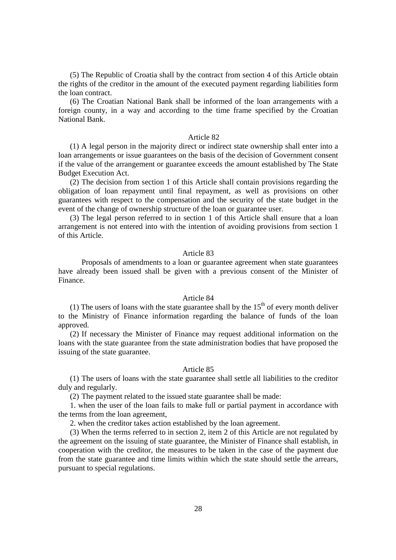(5) The Republic of Croatia shall by the contract from section 4 of this Article obtain the rights of the creditor in the amount of the executed payment regarding liabilities form the loan contract.

(6) The Croatian National Bank shall be informed of the loan arrangements with a foreign county, in a way and according to the time frame specified by the Croatian National Bank.

#### Article 82

(1) A legal person in the majority direct or indirect state ownership shall enter into a loan arrangements or issue guarantees on the basis of the decision of Government consent if the value of the arrangement or guarantee exceeds the amount established by The State Budget Execution Act.

(2) The decision from section 1 of this Article shall contain provisions regarding the obligation of loan repayment until final repayment, as well as provisions on other guarantees with respect to the compensation and the security of the state budget in the event of the change of ownership structure of the loan or guarantee user.

(3) The legal person referred to in section 1 of this Article shall ensure that a loan arrangement is not entered into with the intention of avoiding provisions from section 1 of this Article.

#### Article 83

Proposals of amendments to a loan or guarantee agreement when state guarantees have already been issued shall be given with a previous consent of the Minister of Finance.

#### Article 84

(1) The users of loans with the state guarantee shall by the  $15<sup>th</sup>$  of every month deliver to the Ministry of Finance information regarding the balance of funds of the loan approved.

(2) If necessary the Minister of Finance may request additional information on the loans with the state guarantee from the state administration bodies that have proposed the issuing of the state guarantee.

### Article 85

(1) The users of loans with the state guarantee shall settle all liabilities to the creditor duly and regularly.

(2) The payment related to the issued state guarantee shall be made:

1. when the user of the loan fails to make full or partial payment in accordance with the terms from the loan agreement,

2. when the creditor takes action established by the loan agreement.

(3) When the terms referred to in section 2, item 2 of this Article are not regulated by the agreement on the issuing of state guarantee, the Minister of Finance shall establish, in cooperation with the creditor, the measures to be taken in the case of the payment due from the state guarantee and time limits within which the state should settle the arrears, pursuant to special regulations.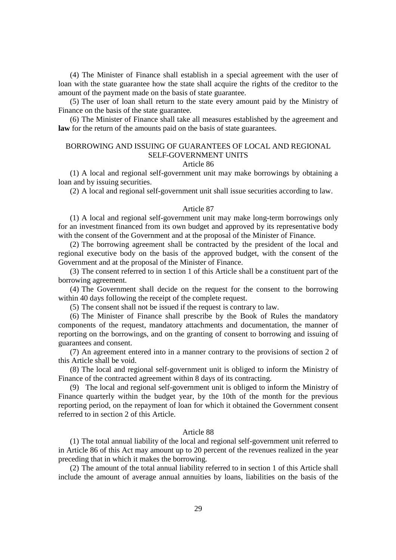(4) The Minister of Finance shall establish in a special agreement with the user of loan with the state guarantee how the state shall acquire the rights of the creditor to the amount of the payment made on the basis of state guarantee.

(5) The user of loan shall return to the state every amount paid by the Ministry of Finance on the basis of the state guarantee.

(6) The Minister of Finance shall take all measures established by the agreement and **law** for the return of the amounts paid on the basis of state guarantees.

# BORROWING AND ISSUING OF GUARANTEES OF LOCAL AND REGIONAL SELF-GOVERNMENT UNITS

#### Article 86

(1) A local and regional self-government unit may make borrowings by obtaining a loan and by issuing securities.

(2) A local and regional self-government unit shall issue securities according to law.

#### Article 87

(1) A local and regional self-government unit may make long-term borrowings only for an investment financed from its own budget and approved by its representative body with the consent of the Government and at the proposal of the Minister of Finance.

(2) The borrowing agreement shall be contracted by the president of the local and regional executive body on the basis of the approved budget, with the consent of the Government and at the proposal of the Minister of Finance.

(3) The consent referred to in section 1 of this Article shall be a constituent part of the borrowing agreement.

(4) The Government shall decide on the request for the consent to the borrowing within 40 days following the receipt of the complete request.

(5) The consent shall not be issued if the request is contrary to law.

(6) The Minister of Finance shall prescribe by the Book of Rules the mandatory components of the request, mandatory attachments and documentation, the manner of reporting on the borrowings, and on the granting of consent to borrowing and issuing of guarantees and consent.

(7) An agreement entered into in a manner contrary to the provisions of section 2 of this Article shall be void.

(8) The local and regional self-government unit is obliged to inform the Ministry of Finance of the contracted agreement within 8 days of its contracting.

(9) The local and regional self-government unit is obliged to inform the Ministry of Finance quarterly within the budget year, by the 10th of the month for the previous reporting period, on the repayment of loan for which it obtained the Government consent referred to in section 2 of this Article.

# Article 88

(1) The total annual liability of the local and regional self-government unit referred to in Article 86 of this Act may amount up to 20 percent of the revenues realized in the year preceding that in which it makes the borrowing.

(2) The amount of the total annual liability referred to in section 1 of this Article shall include the amount of average annual annuities by loans, liabilities on the basis of the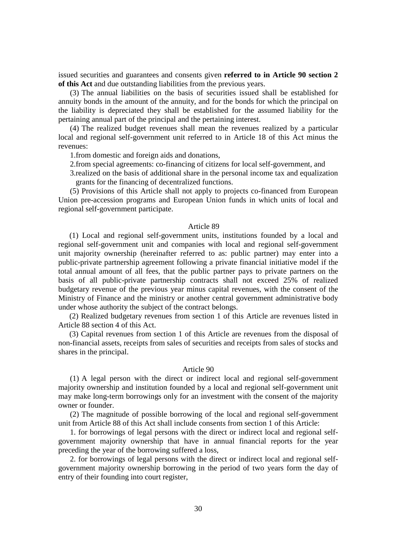issued securities and guarantees and consents given **referred to in Article 90 section 2 of this Act** and due outstanding liabilities from the previous years.

(3) The annual liabilities on the basis of securities issued shall be established for annuity bonds in the amount of the annuity, and for the bonds for which the principal on the liability is depreciated they shall be established for the assumed liability for the pertaining annual part of the principal and the pertaining interest.

(4) The realized budget revenues shall mean the revenues realized by a particular local and regional self-government unit referred to in Article 18 of this Act minus the revenues:

1.from domestic and foreign aids and donations,

2.from special agreements: co-financing of citizens for local self-government, and

3.realized on the basis of additional share in the personal income tax and equalization grants for the financing of decentralized functions.

(5) Provisions of this Article shall not apply to projects co-financed from European Union pre-accession programs and European Union funds in which units of local and regional self-government participate.

#### Article 89

(1) Local and regional self-government units, institutions founded by a local and regional self-government unit and companies with local and regional self-government unit majority ownership (hereinafter referred to as: public partner) may enter into a public-private partnership agreement following a private financial initiative model if the total annual amount of all fees, that the public partner pays to private partners on the basis of all public-private partnership contracts shall not exceed 25% of realized budgetary revenue of the previous year minus capital revenues, with the consent of the Ministry of Finance and the ministry or another central government administrative body under whose authority the subject of the contract belongs.

(2) Realized budgetary revenues from section 1 of this Article are revenues listed in Article 88 section 4 of this Act.

(3) Capital revenues from section 1 of this Article are revenues from the disposal of non-financial assets, receipts from sales of securities and receipts from sales of stocks and shares in the principal.

#### Article 90

(1) A legal person with the direct or indirect local and regional self-government majority ownership and institution founded by a local and regional self-government unit may make long-term borrowings only for an investment with the consent of the majority owner or founder.

(2) The magnitude of possible borrowing of the local and regional self-government unit from Article 88 of this Act shall include consents from section 1 of this Article:

1. for borrowings of legal persons with the direct or indirect local and regional selfgovernment majority ownership that have in annual financial reports for the year preceding the year of the borrowing suffered a loss,

2. for borrowings of legal persons with the direct or indirect local and regional selfgovernment majority ownership borrowing in the period of two years form the day of entry of their founding into court register,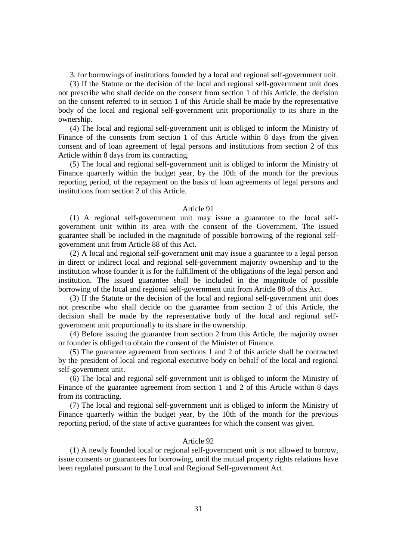3. for borrowings of institutions founded by a local and regional self-government unit.

(3) If the Statute or the decision of the local and regional self-government unit does not prescribe who shall decide on the consent from section 1 of this Article, the decision on the consent referred to in section 1 of this Article shall be made by the representative body of the local and regional self-government unit proportionally to its share in the ownership.

(4) The local and regional self-government unit is obliged to inform the Ministry of Finance of the consents from section 1 of this Article within 8 days from the given consent and of loan agreement of legal persons and institutions from section 2 of this Article within 8 days from its contracting.

(5) The local and regional self-government unit is obliged to inform the Ministry of Finance quarterly within the budget year, by the 10th of the month for the previous reporting period, of the repayment on the basis of loan agreements of legal persons and institutions from section 2 of this Article.

#### Article 91

(1) A regional self-government unit may issue a guarantee to the local selfgovernment unit within its area with the consent of the Government. The issued guarantee shall be included in the magnitude of possible borrowing of the regional selfgovernment unit from Article 88 of this Act.

(2) A local and regional self-government unit may issue a guarantee to a legal person in direct or indirect local and regional self-government majority ownership and to the institution whose founder it is for the fulfillment of the obligations of the legal person and institution. The issued guarantee shall be included in the magnitude of possible borrowing of the local and regional self-government unit from Article 88 of this Act.

(3) If the Statute or the decision of the local and regional self-government unit does not prescribe who shall decide on the guarantee from section 2 of this Article, the decision shall be made by the representative body of the local and regional selfgovernment unit proportionally to its share in the ownership.

(4) Before issuing the guarantee from section 2 from this Article, the majority owner or founder is obliged to obtain the consent of the Minister of Finance.

(5) The guarantee agreement from sections 1 and 2 of this article shall be contracted by the president of local and regional executive body on behalf of the local and regional self-government unit.

(6) The local and regional self-government unit is obliged to inform the Ministry of Finance of the guarantee agreement from section 1 and 2 of this Article within 8 days from its contracting.

(7) The local and regional self-government unit is obliged to inform the Ministry of Finance quarterly within the budget year, by the 10th of the month for the previous reporting period, of the state of active guarantees for which the consent was given.

### Article 92

(1) A newly founded local or regional self-government unit is not allowed to borrow, issue consents or guarantees for borrowing, until the mutual property rights relations have been regulated pursuant to the Local and Regional Self-government Act.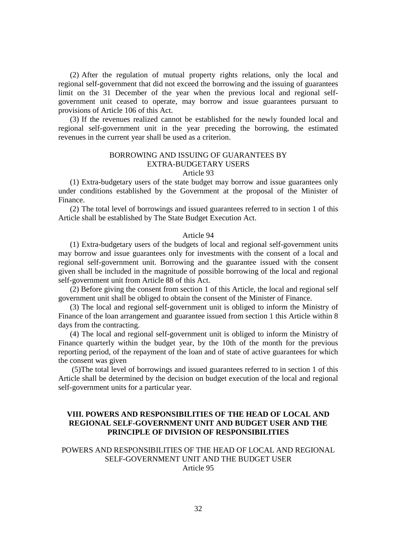(2) After the regulation of mutual property rights relations, only the local and regional self-government that did not exceed the borrowing and the issuing of guarantees limit on the 31 December of the year when the previous local and regional selfgovernment unit ceased to operate, may borrow and issue guarantees pursuant to provisions of Article 106 of this Act.

(3) If the revenues realized cannot be established for the newly founded local and regional self-government unit in the year preceding the borrowing, the estimated revenues in the current year shall be used as a criterion.

# BORROWING AND ISSUING OF GUARANTEES BY EXTRA-BUDGETARY USERS

# Article 93

(1) Extra-budgetary users of the state budget may borrow and issue guarantees only under conditions established by the Government at the proposal of the Minister of Finance.

(2) The total level of borrowings and issued guarantees referred to in section 1 of this Article shall be established by The State Budget Execution Act.

### Article 94

(1) Extra-budgetary users of the budgets of local and regional self-government units may borrow and issue guarantees only for investments with the consent of a local and regional self-government unit. Borrowing and the guarantee issued with the consent given shall be included in the magnitude of possible borrowing of the local and regional self-government unit from Article 88 of this Act.

(2) Before giving the consent from section 1 of this Article, the local and regional self government unit shall be obliged to obtain the consent of the Minister of Finance.

(3) The local and regional self-government unit is obliged to inform the Ministry of Finance of the loan arrangement and guarantee issued from section 1 this Article within 8 days from the contracting.

(4) The local and regional self-government unit is obliged to inform the Ministry of Finance quarterly within the budget year, by the 10th of the month for the previous reporting period, of the repayment of the loan and of state of active guarantees for which the consent was given

 (5)The total level of borrowings and issued guarantees referred to in section 1 of this Article shall be determined by the decision on budget execution of the local and regional self-government units for a particular year.

# **VIII. POWERS AND RESPONSIBILITIES OF THE HEAD OF LOCAL AND REGIONAL SELF-GOVERNMENT UNIT AND BUDGET USER AND THE PRINCIPLE OF DIVISION OF RESPONSIBILITIES**

# POWERS AND RESPONSIBILITIES OF THE HEAD OF LOCAL AND REGIONAL SELF-GOVERNMENT UNIT AND THE BUDGET USER Article 95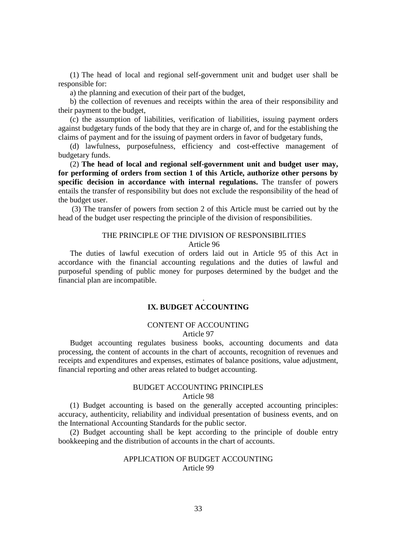(1) The head of local and regional self-government unit and budget user shall be responsible for:

a) the planning and execution of their part of the budget,

b) the collection of revenues and receipts within the area of their responsibility and their payment to the budget,

(c) the assumption of liabilities, verification of liabilities, issuing payment orders against budgetary funds of the body that they are in charge of, and for the establishing the claims of payment and for the issuing of payment orders in favor of budgetary funds,

(d) lawfulness, purposefulness, efficiency and cost-effective management of budgetary funds.

(2) **The head of local and regional self-government unit and budget user may, for performing of orders from section 1 of this Article, authorize other persons by specific decision in accordance with internal regulations.** The transfer of powers entails the transfer of responsibility but does not exclude the responsibility of the head of the budget user.

 (3) The transfer of powers from section 2 of this Article must be carried out by the head of the budget user respecting the principle of the division of responsibilities.

#### THE PRINCIPLE OF THE DIVISION OF RESPONSIBILITIES Article 96

The duties of lawful execution of orders laid out in Article 95 of this Act in accordance with the financial accounting regulations and the duties of lawful and purposeful spending of public money for purposes determined by the budget and the financial plan are incompatible.

# **IX. BUDGET ACCOUNTING**

*.* 

# CONTENT OF ACCOUNTING

# Article 97

Budget accounting regulates business books, accounting documents and data processing, the content of accounts in the chart of accounts, recognition of revenues and receipts and expenditures and expenses, estimates of balance positions, value adjustment, financial reporting and other areas related to budget accounting.

# BUDGET ACCOUNTING PRINCIPLES

Article 98

(1) Budget accounting is based on the generally accepted accounting principles: accuracy, authenticity, reliability and individual presentation of business events, and on the International Accounting Standards for the public sector.

(2) Budget accounting shall be kept according to the principle of double entry bookkeeping and the distribution of accounts in the chart of accounts.

### APPLICATION OF BUDGET ACCOUNTING Article 99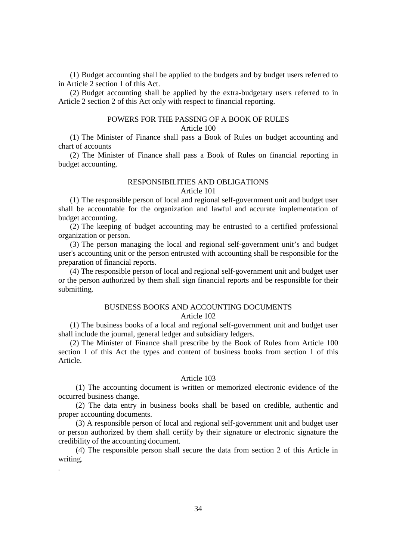(1) Budget accounting shall be applied to the budgets and by budget users referred to in Article 2 section 1 of this Act.

(2) Budget accounting shall be applied by the extra-budgetary users referred to in Article 2 section 2 of this Act only with respect to financial reporting.

## POWERS FOR THE PASSING OF A BOOK OF RULES

# Article 100

(1) The Minister of Finance shall pass a Book of Rules on budget accounting and chart of accounts

(2) The Minister of Finance shall pass a Book of Rules on financial reporting in budget accounting.

# RESPONSIBILITIES AND OBLIGATIONS

### Article 101

(1) The responsible person of local and regional self-government unit and budget user shall be accountable for the organization and lawful and accurate implementation of budget accounting.

(2) The keeping of budget accounting may be entrusted to a certified professional organization or person.

(3) The person managing the local and regional self-government unit's and budget user's accounting unit or the person entrusted with accounting shall be responsible for the preparation of financial reports.

(4) The responsible person of local and regional self-government unit and budget user or the person authorized by them shall sign financial reports and be responsible for their submitting.

# BUSINESS BOOKS AND ACCOUNTING DOCUMENTS Article 102

(1) The business books of a local and regional self-government unit and budget user shall include the journal, general ledger and subsidiary ledgers.

(2) The Minister of Finance shall prescribe by the Book of Rules from Article 100 section 1 of this Act the types and content of business books from section 1 of this Article.

## Article 103

(1) The accounting document is written or memorized electronic evidence of the occurred business change.

(2) The data entry in business books shall be based on credible, authentic and proper accounting documents.

(3) A responsible person of local and regional self-government unit and budget user or person authorized by them shall certify by their signature or electronic signature the credibility of the accounting document.

(4) The responsible person shall secure the data from section 2 of this Article in writing.

*.*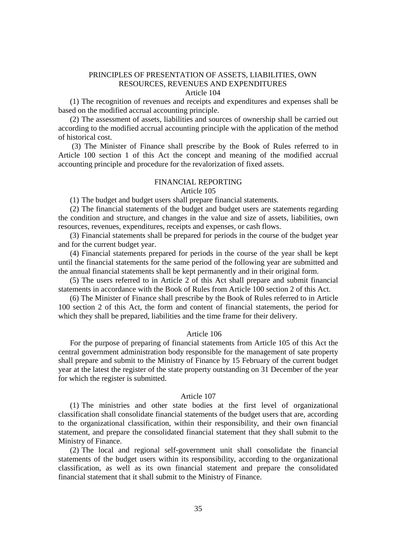# PRINCIPLES OF PRESENTATION OF ASSETS, LIABILITIES, OWN RESOURCES, REVENUES AND EXPENDITURES

Article 104

(1) The recognition of revenues and receipts and expenditures and expenses shall be based on the modified accrual accounting principle.

(2) The assessment of assets, liabilities and sources of ownership shall be carried out according to the modified accrual accounting principle with the application of the method of historical cost.

 (3) The Minister of Finance shall prescribe by the Book of Rules referred to in Article 100 section 1 of this Act the concept and meaning of the modified accrual accounting principle and procedure for the revalorization of fixed assets.

#### FINANCIAL REPORTING

Article 105

(1) The budget and budget users shall prepare financial statements.

(2) The financial statements of the budget and budget users are statements regarding the condition and structure, and changes in the value and size of assets, liabilities, own resources, revenues, expenditures, receipts and expenses, or cash flows.

(3) Financial statements shall be prepared for periods in the course of the budget year and for the current budget year.

(4) Financial statements prepared for periods in the course of the year shall be kept until the financial statements for the same period of the following year are submitted and the annual financial statements shall be kept permanently and in their original form.

(5) The users referred to in Article 2 of this Act shall prepare and submit financial statements in accordance with the Book of Rules from Article 100 section 2 of this Act.

(6) The Minister of Finance shall prescribe by the Book of Rules referred to in Article 100 section 2 of this Act, the form and content of financial statements, the period for which they shall be prepared, liabilities and the time frame for their delivery.

#### Article 106

For the purpose of preparing of financial statements from Article 105 of this Act the central government administration body responsible for the management of sate property shall prepare and submit to the Ministry of Finance by 15 February of the current budget year at the latest the register of the state property outstanding on 31 December of the year for which the register is submitted.

#### Article 107

(1) The ministries and other state bodies at the first level of organizational classification shall consolidate financial statements of the budget users that are, according to the organizational classification, within their responsibility, and their own financial statement, and prepare the consolidated financial statement that they shall submit to the Ministry of Finance.

(2) The local and regional self-government unit shall consolidate the financial statements of the budget users within its responsibility, according to the organizational classification, as well as its own financial statement and prepare the consolidated financial statement that it shall submit to the Ministry of Finance.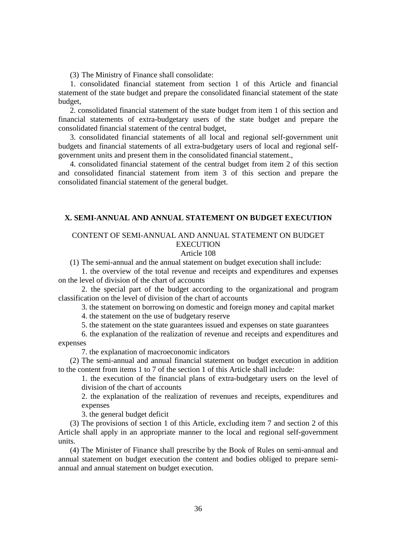(3) The Ministry of Finance shall consolidate:

1. consolidated financial statement from section 1 of this Article and financial statement of the state budget and prepare the consolidated financial statement of the state budget,

2. consolidated financial statement of the state budget from item 1 of this section and financial statements of extra-budgetary users of the state budget and prepare the consolidated financial statement of the central budget,

3. consolidated financial statements of all local and regional self-government unit budgets and financial statements of all extra-budgetary users of local and regional selfgovernment units and present them in the consolidated financial statement.,

4. consolidated financial statement of the central budget from item 2 of this section and consolidated financial statement from item 3 of this section and prepare the consolidated financial statement of the general budget.

# **X. SEMI-ANNUAL AND ANNUAL STATEMENT ON BUDGET EXECUTION**

# CONTENT OF SEMI-ANNUAL AND ANNUAL STATEMENT ON BUDGET **EXECUTION**

# Article 108

(1) The semi-annual and the annual statement on budget execution shall include:

 1. the overview of the total revenue and receipts and expenditures and expenses on the level of division of the chart of accounts

 2. the special part of the budget according to the organizational and program classification on the level of division of the chart of accounts

3. the statement on borrowing on domestic and foreign money and capital market

4. the statement on the use of budgetary reserve

5. the statement on the state guarantees issued and expenses on state guarantees

 6. the explanation of the realization of revenue and receipts and expenditures and expenses

7. the explanation of macroeconomic indicators

(2) The semi-annual and annual financial statement on budget execution in addition to the content from items 1 to 7 of the section 1 of this Article shall include:

1. the execution of the financial plans of extra-budgetary users on the level of division of the chart of accounts

2. the explanation of the realization of revenues and receipts, expenditures and expenses

3. the general budget deficit

(3) The provisions of section 1 of this Article, excluding item 7 and section 2 of this Article shall apply in an appropriate manner to the local and regional self-government units.

(4) The Minister of Finance shall prescribe by the Book of Rules on semi-annual and annual statement on budget execution the content and bodies obliged to prepare semiannual and annual statement on budget execution.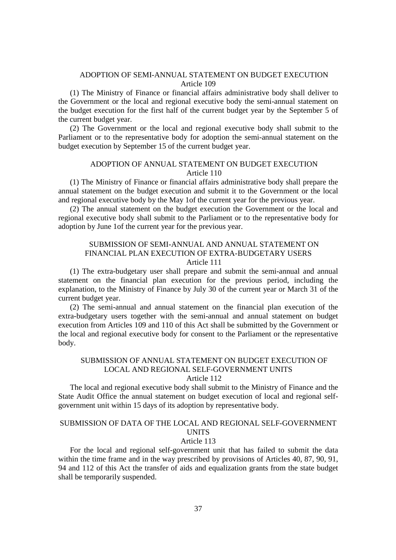# ADOPTION OF SEMI-ANNUAL STATEMENT ON BUDGET EXECUTION Article 109

(1) The Ministry of Finance or financial affairs administrative body shall deliver to the Government or the local and regional executive body the semi-annual statement on the budget execution for the first half of the current budget year by the September 5 of the current budget year.

(2) The Government or the local and regional executive body shall submit to the Parliament or to the representative body for adoption the semi-annual statement on the budget execution by September 15 of the current budget year.

# ADOPTION OF ANNUAL STATEMENT ON BUDGET EXECUTION Article 110

(1) The Ministry of Finance or financial affairs administrative body shall prepare the annual statement on the budget execution and submit it to the Government or the local and regional executive body by the May 1of the current year for the previous year.

(2) The annual statement on the budget execution the Government or the local and regional executive body shall submit to the Parliament or to the representative body for adoption by June 1of the current year for the previous year.

# SUBMISSION OF SEMI-ANNUAL AND ANNUAL STATEMENT ON FINANCIAL PLAN EXECUTION OF EXTRA-BUDGETARY USERS Article 111

(1) The extra-budgetary user shall prepare and submit the semi-annual and annual statement on the financial plan execution for the previous period, including the explanation, to the Ministry of Finance by July 30 of the current year or March 31 of the current budget year.

(2) The semi-annual and annual statement on the financial plan execution of the extra-budgetary users together with the semi-annual and annual statement on budget execution from Articles 109 and 110 of this Act shall be submitted by the Government or the local and regional executive body for consent to the Parliament or the representative body.

# SUBMISSION OF ANNUAL STATEMENT ON BUDGET EXECUTION OF LOCAL AND REGIONAL SELF-GOVERNMENT UNITS

Article 112

The local and regional executive body shall submit to the Ministry of Finance and the State Audit Office the annual statement on budget execution of local and regional selfgovernment unit within 15 days of its adoption by representative body.

# SUBMISSION OF DATA OF THE LOCAL AND REGIONAL SELF-GOVERNMENT **UNITS**

# Article 113

For the local and regional self-government unit that has failed to submit the data within the time frame and in the way prescribed by provisions of Articles 40, 87, 90, 91, 94 and 112 of this Act the transfer of aids and equalization grants from the state budget shall be temporarily suspended.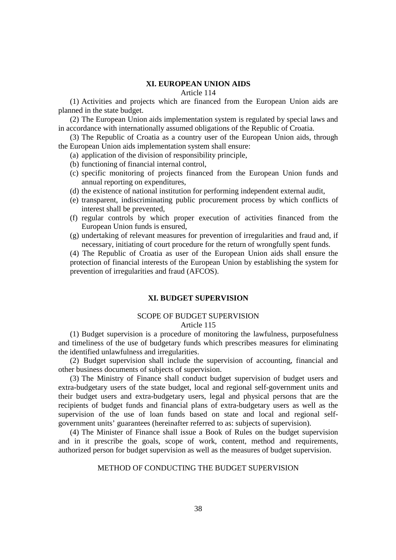# **XI. EUROPEAN UNION AIDS**

Article 114

(1) Activities and projects which are financed from the European Union aids are planned in the state budget.

(2) The European Union aids implementation system is regulated by special laws and in accordance with internationally assumed obligations of the Republic of Croatia.

(3) The Republic of Croatia as a country user of the European Union aids, through the European Union aids implementation system shall ensure:

(a) application of the division of responsibility principle,

- (b) functioning of financial internal control,
- (c) specific monitoring of projects financed from the European Union funds and annual reporting on expenditures,
- (d) the existence of national institution for performing independent external audit,
- (e) transparent, indiscriminating public procurement process by which conflicts of interest shall be prevented,
- (f) regular controls by which proper execution of activities financed from the European Union funds is ensured,
- (g) undertaking of relevant measures for prevention of irregularities and fraud and, if necessary, initiating of court procedure for the return of wrongfully spent funds.

(4) The Republic of Croatia as user of the European Union aids shall ensure the protection of financial interests of the European Union by establishing the system for prevention of irregularities and fraud (AFCOS).

# **XI. BUDGET SUPERVISION**

# SCOPE OF BUDGET SUPERVISION

## Article 115

(1) Budget supervision is a procedure of monitoring the lawfulness, purposefulness and timeliness of the use of budgetary funds which prescribes measures for eliminating the identified unlawfulness and irregularities.

(2) Budget supervision shall include the supervision of accounting, financial and other business documents of subjects of supervision.

(3) The Ministry of Finance shall conduct budget supervision of budget users and extra-budgetary users of the state budget, local and regional self-government units and their budget users and extra-budgetary users, legal and physical persons that are the recipients of budget funds and financial plans of extra-budgetary users as well as the supervision of the use of loan funds based on state and local and regional selfgovernment units' guarantees (hereinafter referred to as: subjects of supervision).

(4) The Minister of Finance shall issue a Book of Rules on the budget supervision and in it prescribe the goals, scope of work, content, method and requirements, authorized person for budget supervision as well as the measures of budget supervision.

# METHOD OF CONDUCTING THE BUDGET SUPERVISION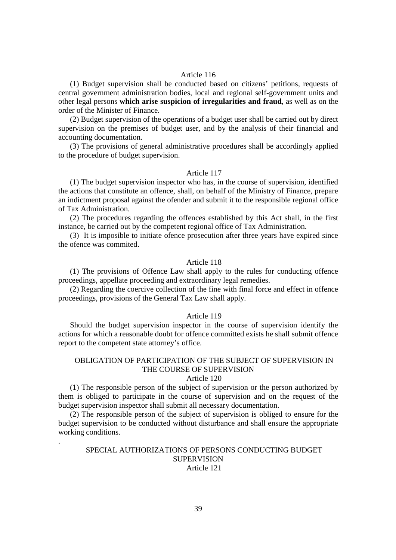### Article 116

(1) Budget supervision shall be conducted based on citizens' petitions, requests of central government administration bodies, local and regional self-government units and other legal persons **which arise suspicion of irregularities and fraud**, as well as on the order of the Minister of Finance.

(2) Budget supervision of the operations of a budget user shall be carried out by direct supervision on the premises of budget user, and by the analysis of their financial and accounting documentation.

(3) The provisions of general administrative procedures shall be accordingly applied to the procedure of budget supervision.

## Article 117

(1) The budget supervision inspector who has, in the course of supervision, identified the actions that constitute an offence, shall, on behalf of the Ministry of Finance, prepare an indictment proposal against the ofender and submit it to the responsible regional office of Tax Administration.

(2) The procedures regarding the offences established by this Act shall, in the first instance, be carried out by the competent regional office of Tax Administration.

(3) It is imposible to initiate ofence prosecution after three years have expired since the ofence was commited.

## Article 118

(1) The provisions of Offence Law shall apply to the rules for conducting offence proceedings, appellate proceeding and extraordinary legal remedies.

(2) Regarding the coercive collection of the fine with final force and effect in offence proceedings, provisions of the General Tax Law shall apply.

## Article 119

Should the budget supervision inspector in the course of supervision identify the actions for which a reasonable doubt for offence committed exists he shall submit offence report to the competent state attorney's office.

# OBLIGATION OF PARTICIPATION OF THE SUBJECT OF SUPERVISION IN THE COURSE OF SUPERVISION

## Article 120

(1) The responsible person of the subject of supervision or the person authorized by them is obliged to participate in the course of supervision and on the request of the budget supervision inspector shall submit all necessary documentation.

(2) The responsible person of the subject of supervision is obliged to ensure for the budget supervision to be conducted without disturbance and shall ensure the appropriate working conditions.

.

# SPECIAL AUTHORIZATIONS OF PERSONS CONDUCTING BUDGET SUPERVISION Article 121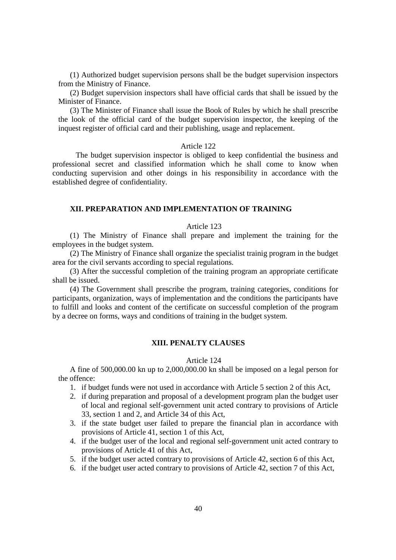(1) Authorized budget supervision persons shall be the budget supervision inspectors from the Ministry of Finance.

(2) Budget supervision inspectors shall have official cards that shall be issued by the Minister of Finance.

(3) The Minister of Finance shall issue the Book of Rules by which he shall prescribe the look of the official card of the budget supervision inspector, the keeping of the inquest register of official card and their publishing, usage and replacement.

### Article 122

The budget supervision inspector is obliged to keep confidential the business and professional secret and classified information which he shall come to know when conducting supervision and other doings in his responsibility in accordance with the established degree of confidentiality.

# **XII. PREPARATION AND IMPLEMENTATION OF TRAINING**

## Article 123

(1) The Ministry of Finance shall prepare and implement the training for the employees in the budget system.

(2) The Ministry of Finance shall organize the specialist trainig program in the budget area for the civil servants according to special regulations.

(3) After the successful completion of the training program an appropriate certificate shall be issued.

(4) The Government shall prescribe the program, training categories, conditions for participants, organization, ways of implementation and the conditions the participants have to fulfill and looks and content of the certificate on successful completion of the program by a decree on forms, ways and conditions of training in the budget system.

# **XIII. PENALTY CLAUSES**

### Article 124

A fine of 500,000.00 kn up to 2,000,000.00 kn shall be imposed on a legal person for the offence:

- 1. if budget funds were not used in accordance with Article 5 section 2 of this Act,
- 2. if during preparation and proposal of a development program plan the budget user of local and regional self-government unit acted contrary to provisions of Article 33, section 1 and 2, and Article 34 of this Act,
- 3. if the state budget user failed to prepare the financial plan in accordance with provisions of Article 41, section 1 of this Act,
- 4. if the budget user of the local and regional self-government unit acted contrary to provisions of Article 41 of this Act,
- 5. if the budget user acted contrary to provisions of Article 42, section 6 of this Act,
- 6. if the budget user acted contrary to provisions of Article 42, section 7 of this Act,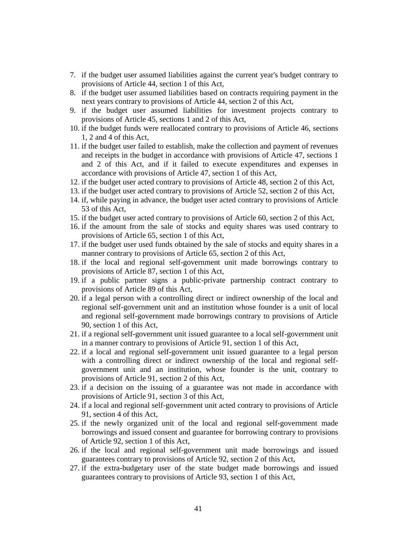- 7. if the budget user assumed liabilities against the current year's budget contrary to provisions of Article 44, section 1 of this Act,
- 8. if the budget user assumed liabilities based on contracts requiring payment in the next years contrary to provisions of Article 44, section 2 of this Act,
- 9. if the budget user assumed liabilities for investment projects contrary to provisions of Article 45, sections 1 and 2 of this Act,
- 10. if the budget funds were reallocated contrary to provisions of Article 46, sections 1, 2 and 4 of this Act,
- 11. if the budget user failed to establish, make the collection and payment of revenues and receipts in the budget in accordance with provisions of Article 47, sections 1 and 2 of this Act, and if it failed to execute expenditures and expenses in accordance with provisions of Article 47, section 1 of this Act,
- 12. if the budget user acted contrary to provisions of Article 48, section 2 of this Act,
- 13. if the budget user acted contrary to provisions of Article 52, section 2 of this Act,
- 14. if, while paying in advance, the budget user acted contrary to provisions of Article 53 of this Act,
- 15. if the budget user acted contrary to provisions of Article 60, section 2 of this Act,
- 16. if the amount from the sale of stocks and equity shares was used contrary to provisions of Article 65, section 1 of this Act,
- 17. if the budget user used funds obtained by the sale of stocks and equity shares in a manner contrary to provisions of Article 65, section 2 of this Act,
- 18. if the local and regional self-government unit made borrowings contrary to provisions of Article 87, section 1 of this Act,
- 19. if a public partner signs a public-private partnership contract contrary to provisions of Article 89 of this Act,
- 20. if a legal person with a controlling direct or indirect ownership of the local and regional self-government unit and an institution whose founder is a unit of local and regional self-government made borrowings contrary to provisions of Article 90, section 1 of this Act,
- 21. if a regional self-government unit issued guarantee to a local self-government unit in a manner contrary to provisions of Article 91, section 1 of this Act,
- 22. if a local and regional self-government unit issued guarantee to a legal person with a controlling direct or indirect ownership of the local and regional selfgovernment unit and an institution, whose founder is the unit, contrary to provisions of Article 91, section 2 of this Act,
- 23. if a decision on the issuing of a guarantee was not made in accordance with provisions of Article 91, section 3 of this Act,
- 24. if a local and regional self-government unit acted contrary to provisions of Article 91, section 4 of this Act,
- 25. if the newly organized unit of the local and regional self-government made borrowings and issued consent and guarantee for borrowing contrary to provisions of Article 92, section 1 of this Act,
- 26. if the local and regional self-government unit made borrowings and issued guarantees contrary to provisions of Article 92, section 2 of this Act,
- 27. if the extra-budgetary user of the state budget made borrowings and issued guarantees contrary to provisions of Article 93, section 1 of this Act,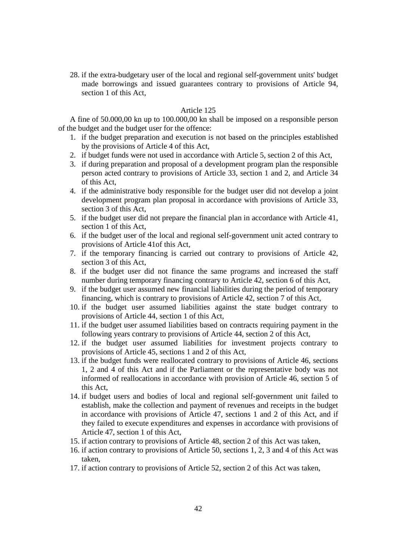28. if the extra-budgetary user of the local and regional self-government units' budget made borrowings and issued guarantees contrary to provisions of Article 94, section 1 of this Act,

### Article 125

A fine of 50.000,00 kn up to 100.000,00 kn shall be imposed on a responsible person of the budget and the budget user for the offence:

- 1. if the budget preparation and execution is not based on the principles established by the provisions of Article 4 of this Act,
- 2. if budget funds were not used in accordance with Article 5, section 2 of this Act,
- 3. if during preparation and proposal of a development program plan the responsible person acted contrary to provisions of Article 33, section 1 and 2, and Article 34 of this Act,
- 4. if the administrative body responsible for the budget user did not develop a joint development program plan proposal in accordance with provisions of Article 33, section 3 of this Act,
- 5. if the budget user did not prepare the financial plan in accordance with Article 41, section 1 of this Act,
- 6. if the budget user of the local and regional self-government unit acted contrary to provisions of Article 41of this Act,
- 7. if the temporary financing is carried out contrary to provisions of Article 42, section 3 of this Act,
- 8. if the budget user did not finance the same programs and increased the staff number during temporary financing contrary to Article 42, section 6 of this Act,
- 9. if the budget user assumed new financial liabilities during the period of temporary financing, which is contrary to provisions of Article 42, section 7 of this Act,
- 10. if the budget user assumed liabilities against the state budget contrary to provisions of Article 44, section 1 of this Act,
- 11. if the budget user assumed liabilities based on contracts requiring payment in the following years contrary to provisions of Article 44, section 2 of this Act,
- 12. if the budget user assumed liabilities for investment projects contrary to provisions of Article 45, sections 1 and 2 of this Act,
- 13. if the budget funds were reallocated contrary to provisions of Article 46, sections 1, 2 and 4 of this Act and if the Parliament or the representative body was not informed of reallocations in accordance with provision of Article 46, section 5 of this Act,
- 14. if budget users and bodies of local and regional self-government unit failed to establish, make the collection and payment of revenues and receipts in the budget in accordance with provisions of Article 47, sections 1 and 2 of this Act, and if they failed to execute expenditures and expenses in accordance with provisions of Article 47, section 1 of this Act,
- 15. if action contrary to provisions of Article 48, section 2 of this Act was taken,
- 16. if action contrary to provisions of Article 50, sections 1, 2, 3 and 4 of this Act was taken,
- 17. if action contrary to provisions of Article 52, section 2 of this Act was taken,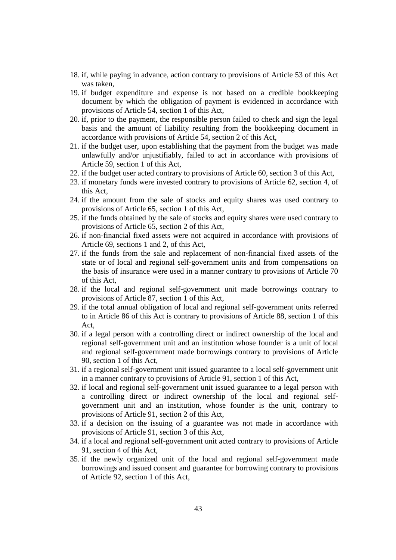- 18. if, while paying in advance, action contrary to provisions of Article 53 of this Act was taken,
- 19. if budget expenditure and expense is not based on a credible bookkeeping document by which the obligation of payment is evidenced in accordance with provisions of Article 54, section 1 of this Act,
- 20. if, prior to the payment, the responsible person failed to check and sign the legal basis and the amount of liability resulting from the bookkeeping document in accordance with provisions of Article 54, section 2 of this Act,
- 21. if the budget user, upon establishing that the payment from the budget was made unlawfully and/or unjustifiably, failed to act in accordance with provisions of Article 59, section 1 of this Act,
- 22. if the budget user acted contrary to provisions of Article 60, section 3 of this Act,
- 23. if monetary funds were invested contrary to provisions of Article 62, section 4, of this Act,
- 24. if the amount from the sale of stocks and equity shares was used contrary to provisions of Article 65, section 1 of this Act,
- 25. if the funds obtained by the sale of stocks and equity shares were used contrary to provisions of Article 65, section 2 of this Act,
- 26. if non-financial fixed assets were not acquired in accordance with provisions of Article 69, sections 1 and 2, of this Act,
- 27. if the funds from the sale and replacement of non-financial fixed assets of the state or of local and regional self-government units and from compensations on the basis of insurance were used in a manner contrary to provisions of Article 70 of this Act,
- 28. if the local and regional self-government unit made borrowings contrary to provisions of Article 87, section 1 of this Act,
- 29. if the total annual obligation of local and regional self-government units referred to in Article 86 of this Act is contrary to provisions of Article 88, section 1 of this Act,
- 30. if a legal person with a controlling direct or indirect ownership of the local and regional self-government unit and an institution whose founder is a unit of local and regional self-government made borrowings contrary to provisions of Article 90, section 1 of this Act,
- 31. if a regional self-government unit issued guarantee to a local self-government unit in a manner contrary to provisions of Article 91, section 1 of this Act,
- 32. if local and regional self-government unit issued guarantee to a legal person with a controlling direct or indirect ownership of the local and regional selfgovernment unit and an institution, whose founder is the unit, contrary to provisions of Article 91, section 2 of this Act,
- 33. if a decision on the issuing of a guarantee was not made in accordance with provisions of Article 91, section 3 of this Act,
- 34. if a local and regional self-government unit acted contrary to provisions of Article 91, section 4 of this Act,
- 35. if the newly organized unit of the local and regional self-government made borrowings and issued consent and guarantee for borrowing contrary to provisions of Article 92, section 1 of this Act,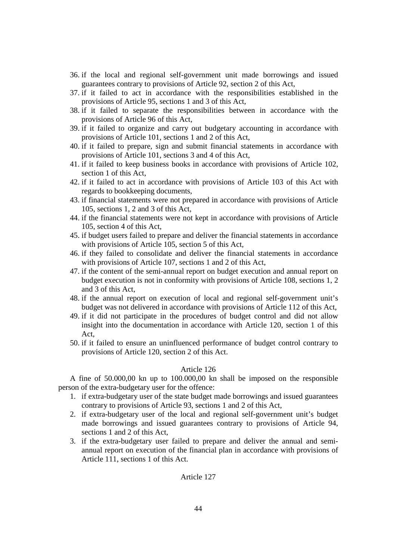- 36. if the local and regional self-government unit made borrowings and issued guarantees contrary to provisions of Article 92, section 2 of this Act,
- 37. if it failed to act in accordance with the responsibilities established in the provisions of Article 95, sections 1 and 3 of this Act,
- 38. if it failed to separate the responsibilities between in accordance with the provisions of Article 96 of this Act,
- 39. if it failed to organize and carry out budgetary accounting in accordance with provisions of Article 101, sections 1 and 2 of this Act,
- 40. if it failed to prepare, sign and submit financial statements in accordance with provisions of Article 101, sections 3 and 4 of this Act,
- 41. if it failed to keep business books in accordance with provisions of Article 102, section 1 of this Act,
- 42. if it failed to act in accordance with provisions of Article 103 of this Act with regards to bookkeeping documents,
- 43. if financial statements were not prepared in accordance with provisions of Article 105, sections 1, 2 and 3 of this Act,
- 44. if the financial statements were not kept in accordance with provisions of Article 105, section 4 of this Act,
- 45. if budget users failed to prepare and deliver the financial statements in accordance with provisions of Article 105, section 5 of this Act,
- 46. if they failed to consolidate and deliver the financial statements in accordance with provisions of Article 107, sections 1 and 2 of this Act,
- 47. if the content of the semi-annual report on budget execution and annual report on budget execution is not in conformity with provisions of Article 108, sections 1, 2 and 3 of this Act,
- 48. if the annual report on execution of local and regional self-government unit's budget was not delivered in accordance with provisions of Article 112 of this Act,
- 49. if it did not participate in the procedures of budget control and did not allow insight into the documentation in accordance with Article 120, section 1 of this Act,
- 50. if it failed to ensure an uninfluenced performance of budget control contrary to provisions of Article 120, section 2 of this Act.

### Article 126

A fine of 50.000,00 kn up to 100.000,00 kn shall be imposed on the responsible person of the extra-budgetary user for the offence:

- 1. if extra-budgetary user of the state budget made borrowings and issued guarantees contrary to provisions of Article 93, sections 1 and 2 of this Act,
- 2. if extra-budgetary user of the local and regional self-government unit's budget made borrowings and issued guarantees contrary to provisions of Article 94, sections 1 and 2 of this Act,
- 3. if the extra-budgetary user failed to prepare and deliver the annual and semiannual report on execution of the financial plan in accordance with provisions of Article 111, sections 1 of this Act.

# Article 127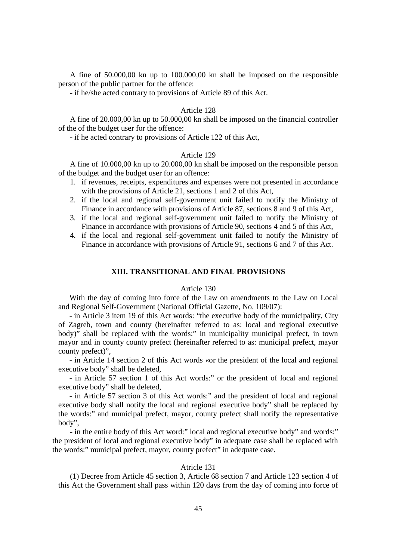A fine of 50.000,00 kn up to 100.000,00 kn shall be imposed on the responsible person of the public partner for the offence:

- if he/she acted contrary to provisions of Article 89 of this Act.

#### Article 128

A fine of 20.000,00 kn up to 50.000,00 kn shall be imposed on the financial controller of the of the budget user for the offence:

- if he acted contrary to provisions of Article 122 of this Act,

### Article 129

A fine of 10.000,00 kn up to 20.000,00 kn shall be imposed on the responsible person of the budget and the budget user for an offence:

- 1. if revenues, receipts, expenditures and expenses were not presented in accordance with the provisions of Article 21, sections 1 and 2 of this Act,
- 2. if the local and regional self-government unit failed to notify the Ministry of Finance in accordance with provisions of Article 87, sections 8 and 9 of this Act,
- 3. if the local and regional self-government unit failed to notify the Ministry of Finance in accordance with provisions of Article 90, sections 4 and 5 of this Act,
- 4. if the local and regional self-government unit failed to notify the Ministry of Finance in accordance with provisions of Article 91, sections 6 and 7 of this Act.

### **XIII. TRANSITIONAL AND FINAL PROVISIONS**

#### Article 130

With the day of coming into force of the Law on amendments to the Law on Local and Regional Self-Government (National Official Gazette, No. 109/07):

- in Article 3 item 19 of this Act words: "the executive body of the municipality, City of Zagreb, town and county (hereinafter referred to as: local and regional executive body)" shall be replaced with the words:" in municipality municipal prefect, in town mayor and in county county prefect (hereinafter referred to as: municipal prefect, mayor county prefect)",

- in Article 14 section 2 of this Act words «or the president of the local and regional executive body" shall be deleted,

- in Article 57 section 1 of this Act words:" or the president of local and regional executive body" shall be deleted,

- in Article 57 section 3 of this Act words:" and the president of local and regional executive body shall notify the local and regional executive body" shall be replaced by the words:" and municipal prefect, mayor, county prefect shall notify the representative body",

- in the entire body of this Act word:" local and regional executive body" and words:" the president of local and regional executive body" in adequate case shall be replaced with the words:" municipal prefect, mayor, county prefect" in adequate case.

### Atricle 131

(1) Decree from Article 45 section 3, Article 68 section 7 and Article 123 section 4 of this Act the Government shall pass within 120 days from the day of coming into force of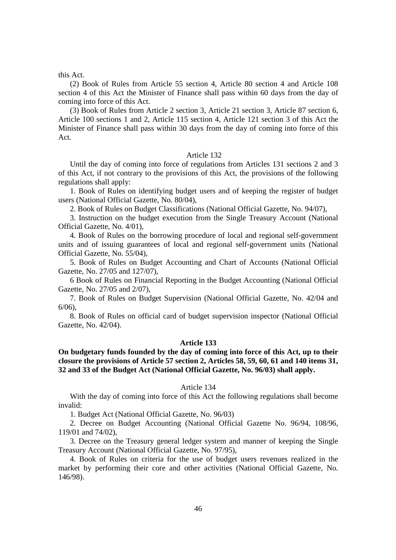#### this Act.

(2) Book of Rules from Article 55 section 4, Article 80 section 4 and Article 108 section 4 of this Act the Minister of Finance shall pass within 60 days from the day of coming into force of this Act.

(3) Book of Rules from Article 2 section 3, Article 21 section 3, Article 87 section 6, Article 100 sections 1 and 2, Article 115 section 4, Article 121 section 3 of this Act the Minister of Finance shall pass within 30 days from the day of coming into force of this Act.

#### Article 132

Until the day of coming into force of regulations from Articles 131 sections 2 and 3 of this Act, if not contrary to the provisions of this Act, the provisions of the following regulations shall apply:

1. Book of Rules on identifying budget users and of keeping the register of budget users (National Official Gazette, No. 80/04),

2. Book of Rules on Budget Classifications (National Official Gazette, No. 94/07),

3. Instruction on the budget execution from the Single Treasury Account (National Official Gazette, No. 4/01),

4. Book of Rules on the borrowing procedure of local and regional self-government units and of issuing guarantees of local and regional self-government units (National Official Gazette, No. 55/04),

5. Book of Rules on Budget Accounting and Chart of Accounts (National Official Gazette, No. 27/05 and 127/07),

6 Book of Rules on Financial Reporting in the Budget Accounting (National Official Gazette, No. 27/05 and 2/07),

7. Book of Rules on Budget Supervision (National Official Gazette, No. 42/04 and 6/06),

8. Book of Rules on official card of budget supervision inspector (National Official Gazette, No. 42/04).

#### **Article 133**

# **On budgetary funds founded by the day of coming into force of this Act, up to their closure the provisions of Article 57 section 2, Articles 58, 59, 60, 61 and 140 items 31, 32 and 33 of the Budget Act (National Official Gazette, No. 96/03) shall apply.**

### Article 134

With the day of coming into force of this Act the following regulations shall become invalid:

1. Budget Act (National Official Gazette, No. 96/03)

2. Decree on Budget Accounting (National Official Gazette No. 96/94, 108/96, 119/01 and 74/02),

3. Decree on the Treasury general ledger system and manner of keeping the Single Treasury Account (National Official Gazette, No. 97/95),

4. Book of Rules on criteria for the use of budget users revenues realized in the market by performing their core and other activities (National Official Gazette, No. 146/98).